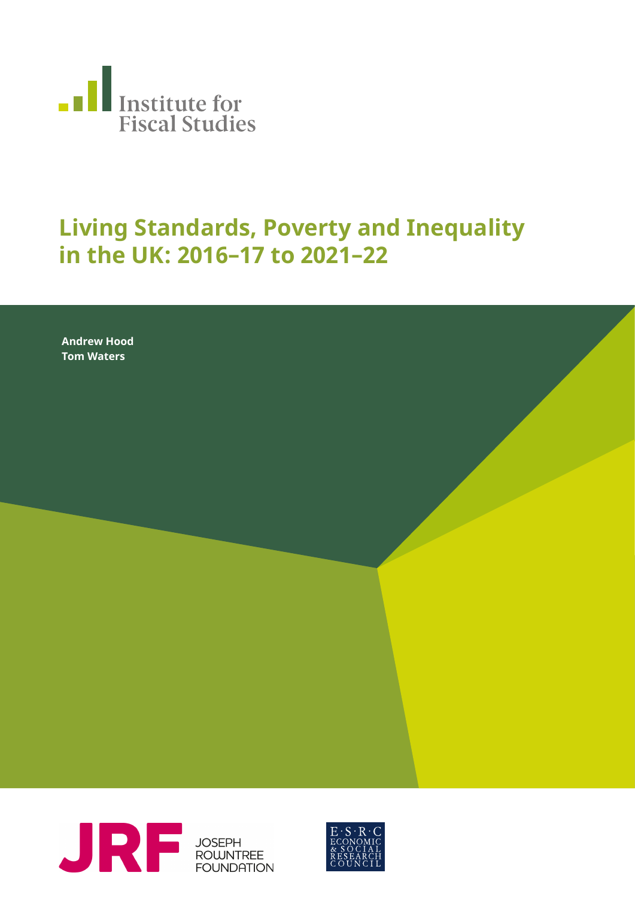

## **Living Standards, Poverty and Inequality in the UK: 2016–17 to 2021–22**

**Neil Amin Smith, David Phil-Andrew Hood lips, Polly Simpson Tom Waters**



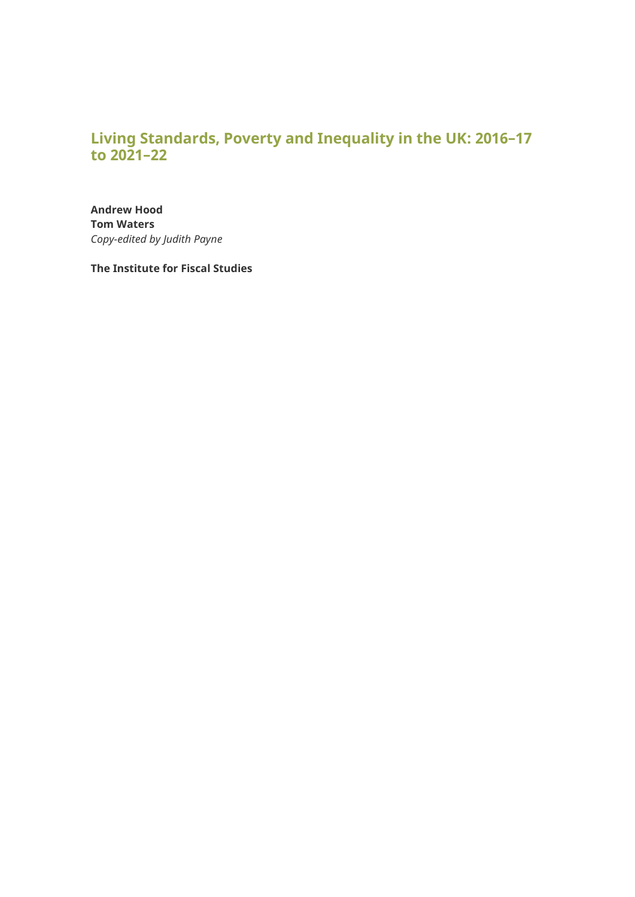## **Living Standards, Poverty and Inequality in the UK: 2016–17 to 2021–22**

**Andrew Hood Tom Waters** *Copy-edited by Judith Payne*

**The Institute for Fiscal Studies**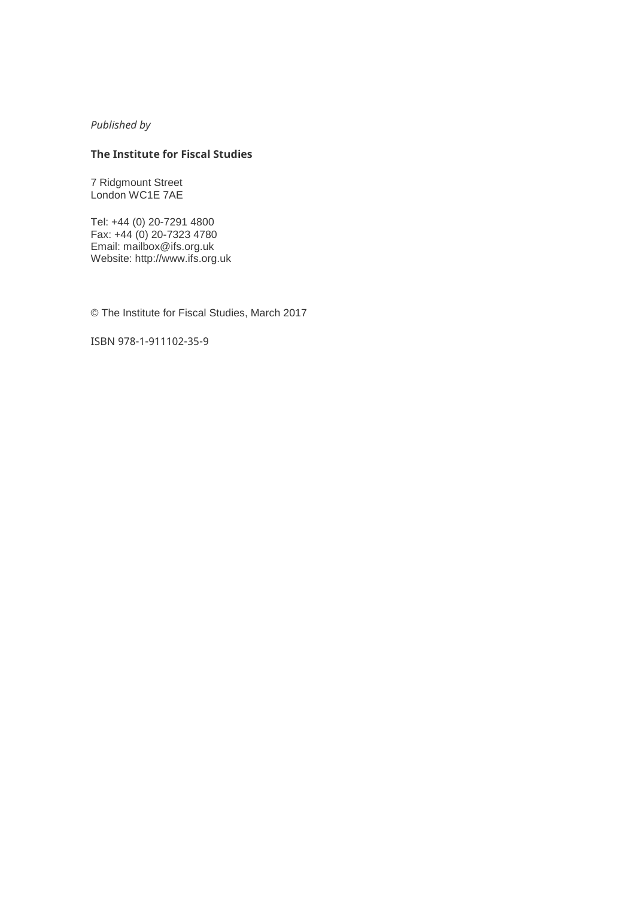#### *Published by*

#### **The Institute for Fiscal Studies**

7 Ridgmount Street London WC1E 7AE

Tel: +44 (0) 20-7291 4800 Fax: +44 (0) 20-7323 4780 Email: [mailbox@ifs.org.uk](mailto:mailbox@ifs.org.uk) Website: http://www.ifs.org.uk

© The Institute for Fiscal Studies, March 2017

ISBN 978-1-911102-35-9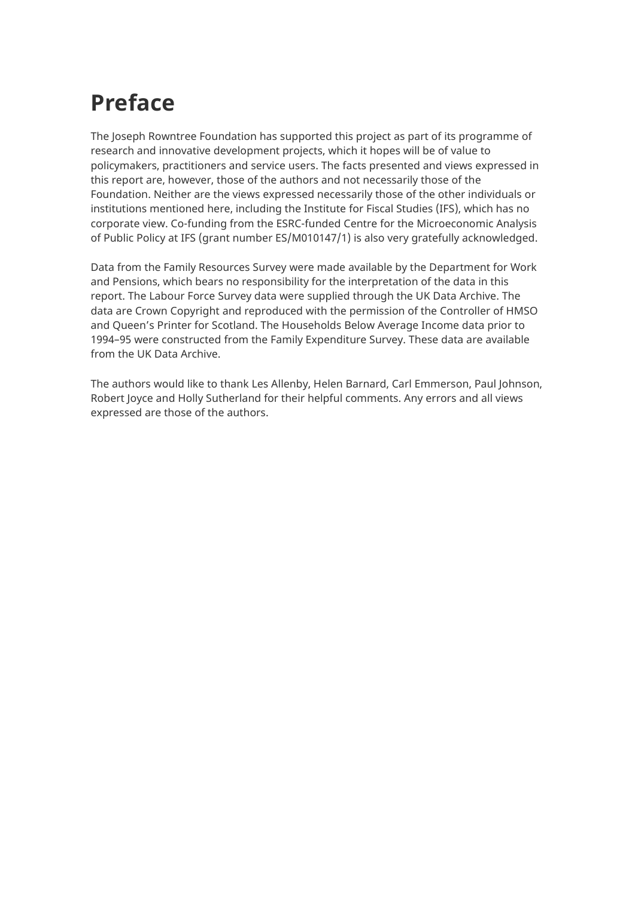## **Preface**

The Joseph Rowntree Foundation has supported this project as part of its programme of research and innovative development projects, which it hopes will be of value to policymakers, practitioners and service users. The facts presented and views expressed in this report are, however, those of the authors and not necessarily those of the Foundation. Neither are the views expressed necessarily those of the other individuals or institutions mentioned here, including the Institute for Fiscal Studies (IFS), which has no corporate view. Co-funding from the ESRC-funded Centre for the Microeconomic Analysis of Public Policy at IFS (grant number ES/M010147/1) is also very gratefully acknowledged.

Data from the Family Resources Survey were made available by the Department for Work and Pensions, which bears no responsibility for the interpretation of the data in this report. The Labour Force Survey data were supplied through the UK Data Archive. The data are Crown Copyright and reproduced with the permission of the Controller of HMSO and Queen's Printer for Scotland. The Households Below Average Income data prior to 1994–95 were constructed from the Family Expenditure Survey. These data are available from the UK Data Archive.

The authors would like to thank Les Allenby, Helen Barnard, Carl Emmerson, Paul Johnson, Robert Joyce and Holly Sutherland for their helpful comments. Any errors and all views expressed are those of the authors.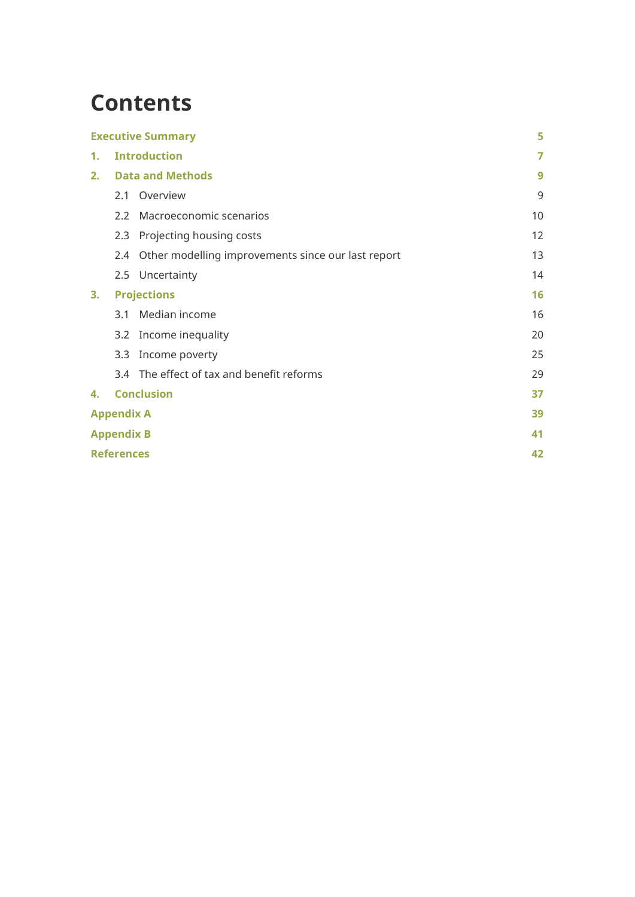## **Contents**

| <b>Executive Summary</b>      |                          | 5                                                                                                                              |
|-------------------------------|--------------------------|--------------------------------------------------------------------------------------------------------------------------------|
| <b>Introduction</b><br>1.     |                          | 7                                                                                                                              |
| <b>Data and Methods</b><br>2. |                          | 9                                                                                                                              |
| 2.1                           |                          | 9                                                                                                                              |
| 2.2                           | Macroeconomic scenarios  | 10                                                                                                                             |
| 2.3                           | Projecting housing costs | 12                                                                                                                             |
| 2.4                           |                          | 13                                                                                                                             |
|                               |                          | 14                                                                                                                             |
| 3.<br><b>Projections</b>      |                          | 16                                                                                                                             |
| 3.1                           | Median income            | 16                                                                                                                             |
| 3.2                           | Income inequality        | 20                                                                                                                             |
| 3.3                           | Income poverty           | 25                                                                                                                             |
|                               |                          | 29                                                                                                                             |
| <b>Conclusion</b><br>4.       |                          | 37                                                                                                                             |
| <b>Appendix A</b>             |                          | 39                                                                                                                             |
| <b>Appendix B</b>             |                          | 41                                                                                                                             |
| <b>References</b>             |                          | 42                                                                                                                             |
|                               |                          | Overview<br>Other modelling improvements since our last report<br>2.5 Uncertainty<br>3.4 The effect of tax and benefit reforms |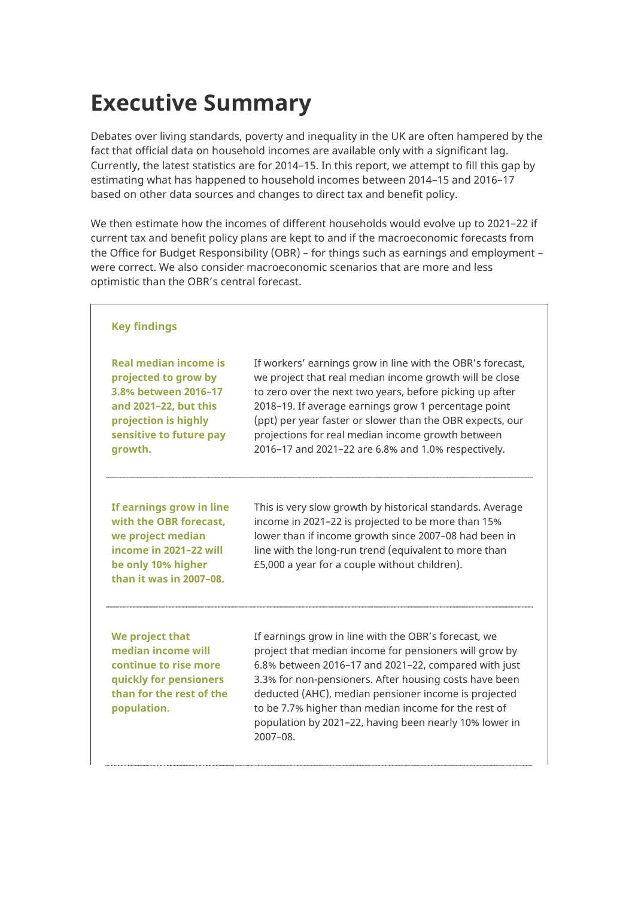# <span id="page-5-0"></span>**Executive Summary**

Debates over living standards, poverty and inequality in the UK are often hampered by the fact that official data on household incomes are available only with a significant lag. Currently, the latest statistics are for 2014–15. In this report, we attempt to fill this gap by estimating what has happened to household incomes between 2014–15 and 2016–17 based on other data sources and changes to direct tax and benefit policy.

We then estimate how the incomes of different households would evolve up to 2021–22 if current tax and benefit policy plans are kept to and if the macroeconomic forecasts from the Office for Budget Responsibility (OBR) – for things such as earnings and employment – were correct. We also consider macroeconomic scenarios that are more and less optimistic than the OBR's central forecast.

| <b>Key findings</b>                                                                                                                                          |                                                                                                                                                                                                                                                                                                                                                                                                                             |
|--------------------------------------------------------------------------------------------------------------------------------------------------------------|-----------------------------------------------------------------------------------------------------------------------------------------------------------------------------------------------------------------------------------------------------------------------------------------------------------------------------------------------------------------------------------------------------------------------------|
| Real median income is<br>projected to grow by<br>3.8% between 2016-17<br>and 2021-22, but this<br>projection is highly<br>sensitive to future pay<br>growth. | If workers' earnings grow in line with the OBR's forecast,<br>we project that real median income growth will be close<br>to zero over the next two years, before picking up after<br>2018-19. If average earnings grow 1 percentage point<br>(ppt) per year faster or slower than the OBR expects, our<br>projections for real median income growth between<br>2016-17 and 2021-22 are 6.8% and 1.0% respectively.          |
| If earnings grow in line<br>with the OBR forecast.<br>we project median<br>income in 2021-22 will<br>be only 10% higher<br>than it was in 2007-08.           | This is very slow growth by historical standards. Average<br>income in 2021-22 is projected to be more than 15%<br>lower than if income growth since 2007-08 had been in<br>line with the long-run trend (equivalent to more than<br>£5,000 a year for a couple without children).                                                                                                                                          |
| We project that<br>median income will<br>continue to rise more<br>quickly for pensioners<br>than for the rest of the<br>population.                          | If earnings grow in line with the OBR's forecast, we<br>project that median income for pensioners will grow by<br>6.8% between 2016-17 and 2021-22, compared with just<br>3.3% for non-pensioners. After housing costs have been<br>deducted (AHC), median pensioner income is projected<br>to be 7.7% higher than median income for the rest of<br>population by 2021-22, having been nearly 10% lower in<br>$2007 - 08$ . |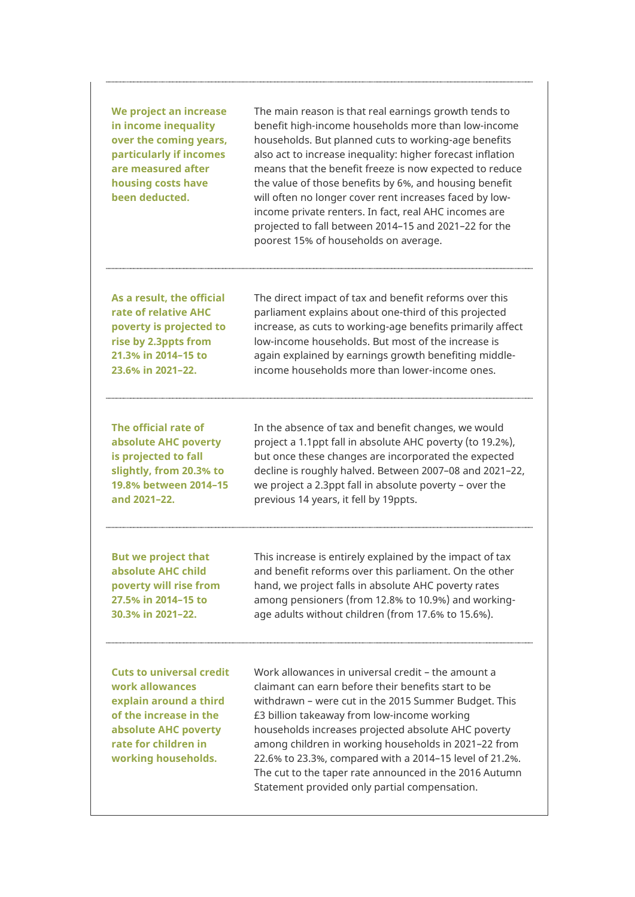**We project an increase in income inequality over the coming years, particularly if incomes are measured after housing costs have been deducted.**

The main reason is that real earnings growth tends to benefit high-income households more than low-income households. But planned cuts to working-age benefits also act to increase inequality: higher forecast inflation means that the benefit freeze is now expected to reduce the value of those benefits by 6%, and housing benefit will often no longer cover rent increases faced by lowincome private renters. In fact, real AHC incomes are projected to fall between 2014–15 and 2021–22 for the poorest 15% of households on average.

**As a result, the official rate of relative AHC poverty is projected to rise by 2.3ppts from 21.3% in 2014–15 to 23.6% in 2021–22.**

The direct impact of tax and benefit reforms over this parliament explains about one-third of this projected increase, as cuts to working-age benefits primarily affect low-income households. But most of the increase is again explained by earnings growth benefiting middleincome households more than lower-income ones.

**The official rate of absolute AHC poverty is projected to fall slightly, from 20.3% to 19.8% between 2014–15 and 2021–22.**

In the absence of tax and benefit changes, we would project a 1.1ppt fall in absolute AHC poverty (to 19.2%), but once these changes are incorporated the expected decline is roughly halved. Between 2007–08 and 2021–22, we project a 2.3ppt fall in absolute poverty – over the previous 14 years, it fell by 19ppts.

**But we project that absolute AHC child poverty will rise from 27.5% in 2014–15 to 30.3% in 2021–22.** 

This increase is entirely explained by the impact of tax and benefit reforms over this parliament. On the other hand, we project falls in absolute AHC poverty rates among pensioners (from 12.8% to 10.9%) and workingage adults without children (from 17.6% to 15.6%).

**Cuts to universal credit work allowances explain around a third of the increase in the absolute AHC poverty rate for children in working households.**

Work allowances in universal credit – the amount a claimant can earn before their benefits start to be withdrawn – were cut in the 2015 Summer Budget. This £3 billion takeaway from low-income working households increases projected absolute AHC poverty among children in working households in 2021–22 from 22.6% to 23.3%, compared with a 2014–15 level of 21.2%. The cut to the taper rate announced in the 2016 Autumn Statement provided only partial compensation.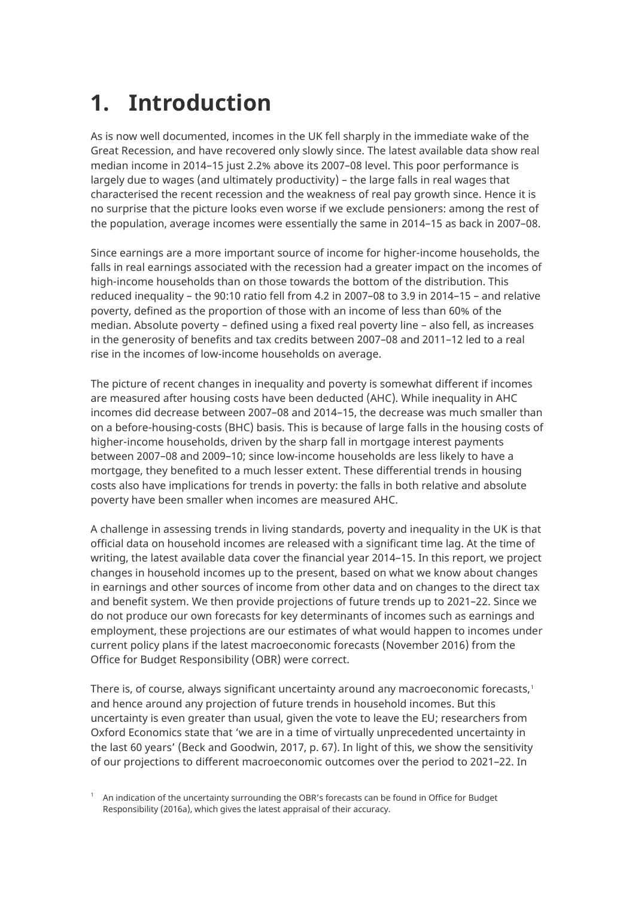# <span id="page-7-0"></span>**1. Introduction**

As is now well documented, incomes in the UK fell sharply in the immediate wake of the Great Recession, and have recovered only slowly since. The latest available data show real median income in 2014–15 just 2.2% above its 2007–08 level. This poor performance is largely due to wages (and ultimately productivity) – the large falls in real wages that characterised the recent recession and the weakness of real pay growth since. Hence it is no surprise that the picture looks even worse if we exclude pensioners: among the rest of the population, average incomes were essentially the same in 2014–15 as back in 2007–08.

Since earnings are a more important source of income for higher-income households, the falls in real earnings associated with the recession had a greater impact on the incomes of high-income households than on those towards the bottom of the distribution. This reduced inequality – the 90:10 ratio fell from 4.2 in 2007–08 to 3.9 in 2014–15 – and relative poverty, defined as the proportion of those with an income of less than 60% of the median. Absolute poverty – defined using a fixed real poverty line – also fell, as increases in the generosity of benefits and tax credits between 2007–08 and 2011–12 led to a real rise in the incomes of low-income households on average.

The picture of recent changes in inequality and poverty is somewhat different if incomes are measured after housing costs have been deducted (AHC). While inequality in AHC incomes did decrease between 2007–08 and 2014–15, the decrease was much smaller than on a before-housing-costs (BHC) basis. This is because of large falls in the housing costs of higher-income households, driven by the sharp fall in mortgage interest payments between 2007–08 and 2009–10; since low-income households are less likely to have a mortgage, they benefited to a much lesser extent. These differential trends in housing costs also have implications for trends in poverty: the falls in both relative and absolute poverty have been smaller when incomes are measured AHC.

A challenge in assessing trends in living standards, poverty and inequality in the UK is that official data on household incomes are released with a significant time lag. At the time of writing, the latest available data cover the financial year 2014–15. In this report, we project changes in household incomes up to the present, based on what we know about changes in earnings and other sources of income from other data and on changes to the direct tax and benefit system. We then provide projections of future trends up to 2021–22. Since we do not produce our own forecasts for key determinants of incomes such as earnings and employment, these projections are our estimates of what would happen to incomes under current policy plans if the latest macroeconomic forecasts (November 2016) from the Office for Budget Responsibility (OBR) were correct.

There is, of course, always significant uncertainty around any macroeconomic forecasts, [1](#page-7-1) and hence around any projection of future trends in household incomes. But this uncertainty is even greater than usual, given the vote to leave the EU; researchers from Oxford Economics state that 'we are in a time of virtually unprecedented uncertainty in the last 60 years' (Beck and Goodwin, 2017, p. 67). In light of this, we show the sensitivity of our projections to different macroeconomic outcomes over the period to 2021–22. In

<span id="page-7-1"></span> $^\text{1}$  An indication of the uncertainty surrounding the OBR's forecasts can be found in Office for Budget Responsibility (2016a), which gives the latest appraisal of their accuracy.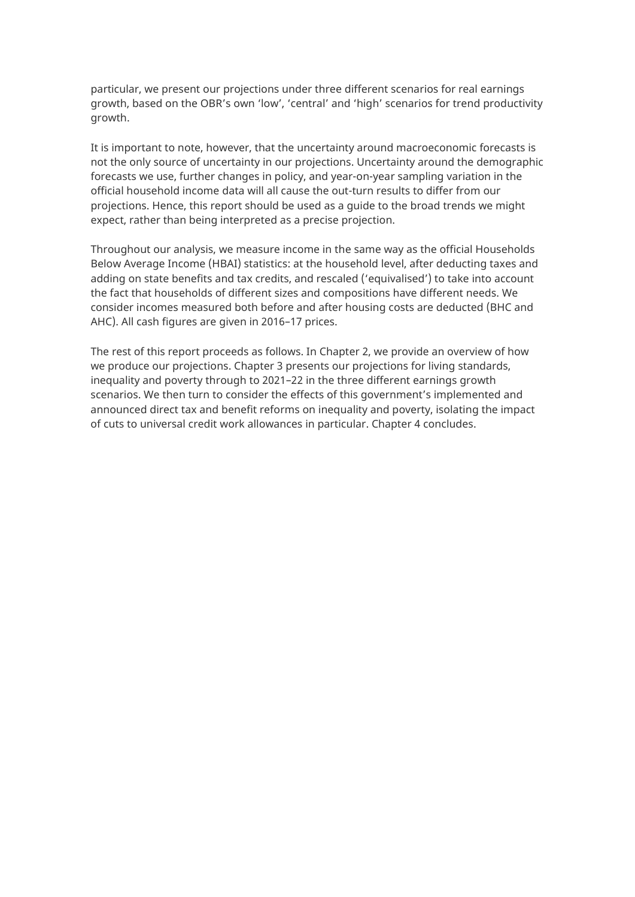particular, we present our projections under three different scenarios for real earnings growth, based on the OBR's own 'low', 'central' and 'high' scenarios for trend productivity growth.

It is important to note, however, that the uncertainty around macroeconomic forecasts is not the only source of uncertainty in our projections. Uncertainty around the demographic forecasts we use, further changes in policy, and year-on-year sampling variation in the official household income data will all cause the out-turn results to differ from our projections. Hence, this report should be used as a guide to the broad trends we might expect, rather than being interpreted as a precise projection.

Throughout our analysis, we measure income in the same way as the official Households Below Average Income (HBAI) statistics: at the household level, after deducting taxes and adding on state benefits and tax credits, and rescaled ('equivalised') to take into account the fact that households of different sizes and compositions have different needs. We consider incomes measured both before and after housing costs are deducted (BHC and AHC). All cash figures are given in 2016–17 prices.

The rest of this report proceeds as follows. In Chapter 2, we provide an overview of how we produce our projections. Chapter 3 presents our projections for living standards, inequality and poverty through to 2021–22 in the three different earnings growth scenarios. We then turn to consider the effects of this government's implemented and announced direct tax and benefit reforms on inequality and poverty, isolating the impact of cuts to universal credit work allowances in particular. Chapter 4 concludes.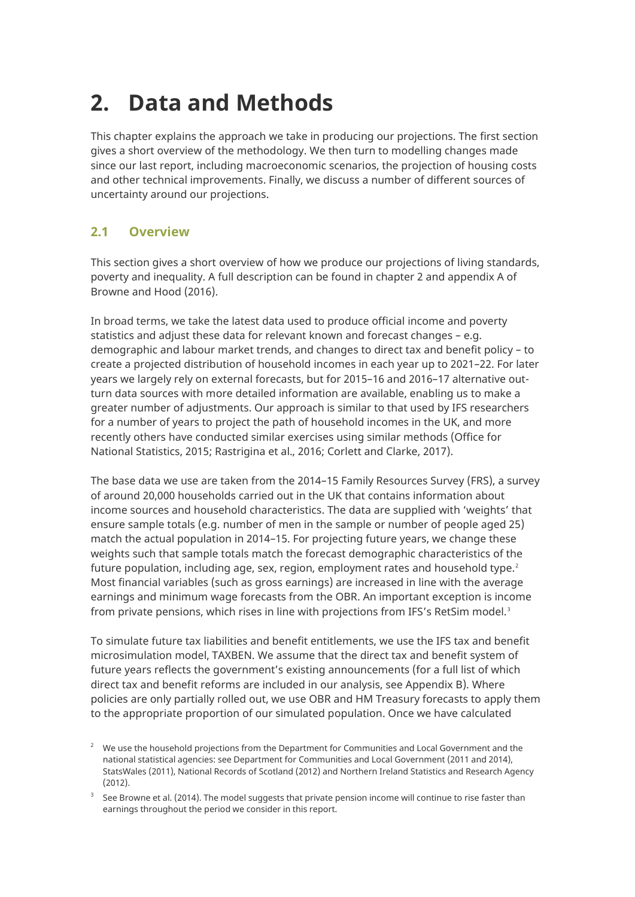# <span id="page-9-0"></span>**2. Data and Methods**

This chapter explains the approach we take in producing our projections. The first section gives a short overview of the methodology. We then turn to modelling changes made since our last report, including macroeconomic scenarios, the projection of housing costs and other technical improvements. Finally, we discuss a number of different sources of uncertainty around our projections.

### <span id="page-9-1"></span>**2.1 Overview**

This section gives a short overview of how we produce our projections of living standards, poverty and inequality. A full description can be found in chapter 2 and appendix A of Browne and Hood (2016).

In broad terms, we take the latest data used to produce official income and poverty statistics and adjust these data for relevant known and forecast changes – e.g. demographic and labour market trends, and changes to direct tax and benefit policy – to create a projected distribution of household incomes in each year up to 2021–22. For later years we largely rely on external forecasts, but for 2015–16 and 2016–17 alternative outturn data sources with more detailed information are available, enabling us to make a greater number of adjustments. Our approach is similar to that used by IFS researchers for a number of years to project the path of household incomes in the UK, and more recently others have conducted similar exercises using similar methods (Office for National Statistics, 2015; Rastrigina et al., 2016; Corlett and Clarke, 2017).

The base data we use are taken from the 2014–15 Family Resources Survey (FRS), a survey of around 20,000 households carried out in the UK that contains information about income sources and household characteristics. The data are supplied with 'weights' that ensure sample totals (e.g. number of men in the sample or number of people aged 25) match the actual population in 2014–15. For projecting future years, we change these weights such that sample totals match the forecast demographic characteristics of the future population, including age, sex, region, employment rates and household type. $2$ Most financial variables (such as gross earnings) are increased in line with the average earnings and minimum wage forecasts from the OBR. An important exception is income from private pensions, which rises in line with projections from IFS's RetSim model. $^{\text{3}}$  $^{\text{3}}$  $^{\text{3}}$ 

To simulate future tax liabilities and benefit entitlements, we use the IFS tax and benefit microsimulation model, TAXBEN. We assume that the direct tax and benefit system of future years reflects the government's existing announcements (for a full list of which direct tax and benefit reforms are included in our analysis, see Appendix B). Where policies are only partially rolled out, we use OBR and HM Treasury forecasts to apply them to the appropriate proportion of our simulated population. Once we have calculated

<span id="page-9-2"></span> $^{\rm 2}$  We use the household projections from the Department for Communities and Local Government and the national statistical agencies: see Department for Communities and Local Government (2011 and 2014), StatsWales (2011), National Records of Scotland (2012) and Northern Ireland Statistics and Research Agency (2012).

<span id="page-9-3"></span><sup>3</sup> See Browne et al. (2014). The model suggests that private pension income will continue to rise faster than earnings throughout the period we consider in this report.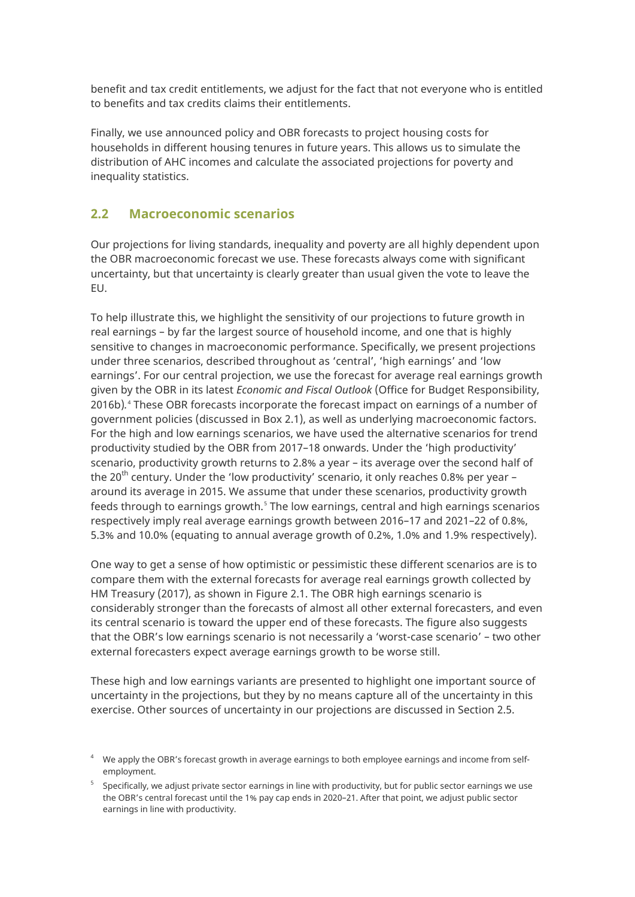benefit and tax credit entitlements, we adjust for the fact that not everyone who is entitled to benefits and tax credits claims their entitlements.

Finally, we use announced policy and OBR forecasts to project housing costs for households in different housing tenures in future years. This allows us to simulate the distribution of AHC incomes and calculate the associated projections for poverty and inequality statistics.

### <span id="page-10-0"></span>**2.2 Macroeconomic scenarios**

Our projections for living standards, inequality and poverty are all highly dependent upon the OBR macroeconomic forecast we use. These forecasts always come with significant uncertainty, but that uncertainty is clearly greater than usual given the vote to leave the EU.

To help illustrate this, we highlight the sensitivity of our projections to future growth in real earnings – by far the largest source of household income, and one that is highly sensitive to changes in macroeconomic performance. Specifically, we present projections under three scenarios, described throughout as 'central', 'high earnings' and 'low earnings'. For our central projection, we use the forecast for average real earnings growth given by the OBR in its latest *Economic and Fiscal Outlook* (Office for Budget Responsibility, 2016b)*.* [4](#page-10-1) These OBR forecasts incorporate the forecast impact on earnings of a number of government policies (discussed in Box 2.1), as well as underlying macroeconomic factors. For the high and low earnings scenarios, we have used the alternative scenarios for trend productivity studied by the OBR from 2017–18 onwards. Under the 'high productivity' scenario, productivity growth returns to 2.8% a year – its average over the second half of the 20<sup>th</sup> century. Under the 'low productivity' scenario, it only reaches 0.8% per year – around its average in 2015. We assume that under these scenarios, productivity growth feeds through to earnings growth.<sup>[5](#page-10-2)</sup> The low earnings, central and high earnings scenarios respectively imply real average earnings growth between 2016–17 and 2021–22 of 0.8%, 5.3% and 10.0% (equating to annual average growth of 0.2%, 1.0% and 1.9% respectively).

One way to get a sense of how optimistic or pessimistic these different scenarios are is to compare them with the external forecasts for average real earnings growth collected by HM Treasury (2017), as shown in Figure 2.1. The OBR high earnings scenario is considerably stronger than the forecasts of almost all other external forecasters, and even its central scenario is toward the upper end of these forecasts. The figure also suggests that the OBR's low earnings scenario is not necessarily a 'worst-case scenario' – two other external forecasters expect average earnings growth to be worse still.

These high and low earnings variants are presented to highlight one important source of uncertainty in the projections, but they by no means capture all of the uncertainty in this exercise. Other sources of uncertainty in our projections are discussed in Section 2.5.

<span id="page-10-1"></span> $^4$  We apply the OBR's forecast growth in average earnings to both employee earnings and income from selfemployment.

<span id="page-10-2"></span><sup>5</sup> Specifically, we adjust private sector earnings in line with productivity, but for public sector earnings we use the OBR's central forecast until the 1% pay cap ends in 2020–21. After that point, we adjust public sector earnings in line with productivity.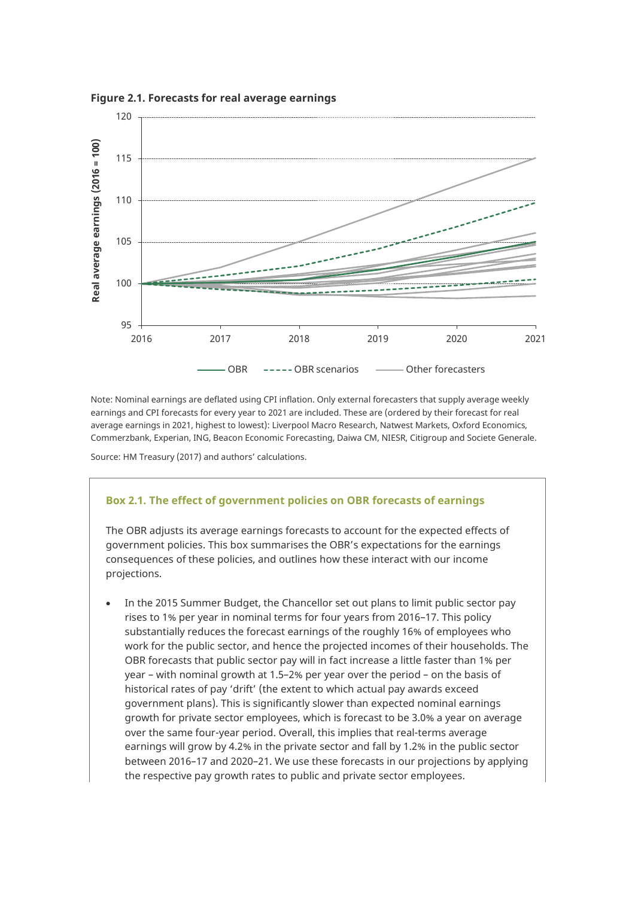

**Figure 2.1. Forecasts for real average earnings**

Note: Nominal earnings are deflated using CPI inflation. Only external forecasters that supply average weekly earnings and CPI forecasts for every year to 2021 are included. These are (ordered by their forecast for real average earnings in 2021, highest to lowest): Liverpool Macro Research, Natwest Markets, Oxford Economics, Commerzbank, Experian, ING, Beacon Economic Forecasting, Daiwa CM, NIESR, Citigroup and Societe Generale.

Source: HM Treasury (2017) and authors' calculations.

#### **Box 2.1. The effect of government policies on OBR forecasts of earnings**

The OBR adjusts its average earnings forecasts to account for the expected effects of government policies. This box summarises the OBR's expectations for the earnings consequences of these policies, and outlines how these interact with our income projections.

• In the 2015 Summer Budget, the Chancellor set out plans to limit public sector pay rises to 1% per year in nominal terms for four years from 2016–17. This policy substantially reduces the forecast earnings of the roughly 16% of employees who work for the public sector, and hence the projected incomes of their households. The OBR forecasts that public sector pay will in fact increase a little faster than 1% per year – with nominal growth at 1.5–2% per year over the period – on the basis of historical rates of pay 'drift' (the extent to which actual pay awards exceed government plans). This is significantly slower than expected nominal earnings growth for private sector employees, which is forecast to be 3.0% a year on average over the same four-year period. Overall, this implies that real-terms average earnings will grow by 4.2% in the private sector and fall by 1.2% in the public sector between 2016–17 and 2020–21. We use these forecasts in our projections by applying the respective pay growth rates to public and private sector employees.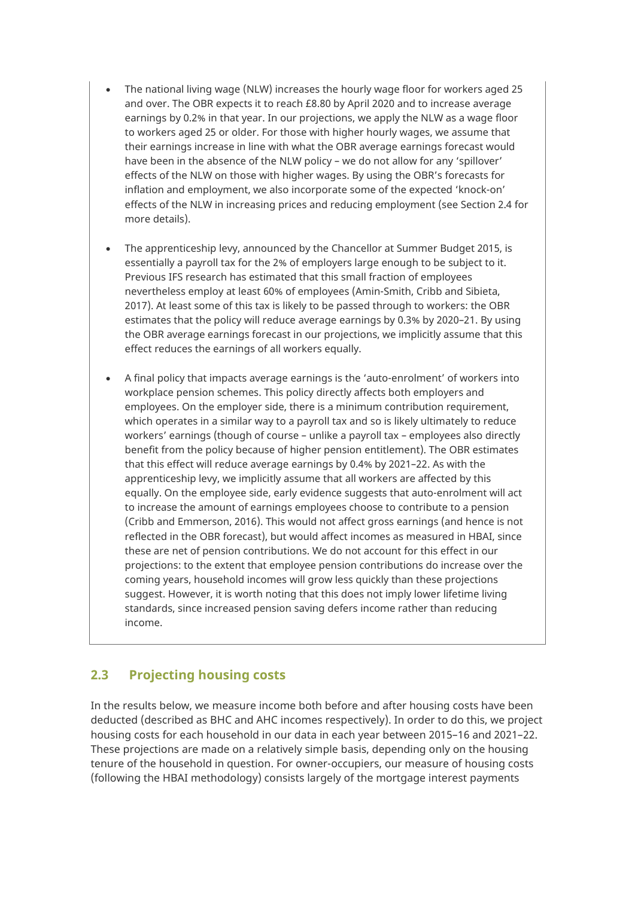- The national living wage (NLW) increases the hourly wage floor for workers aged 25 and over. The OBR expects it to reach £8.80 by April 2020 and to increase average earnings by 0.2% in that year. In our projections, we apply the NLW as a wage floor to workers aged 25 or older. For those with higher hourly wages, we assume that their earnings increase in line with what the OBR average earnings forecast would have been in the absence of the NLW policy – we do not allow for any 'spillover' effects of the NLW on those with higher wages. By using the OBR's forecasts for inflation and employment, we also incorporate some of the expected 'knock-on' effects of the NLW in increasing prices and reducing employment (see Section 2.4 for more details).
- The apprenticeship levy, announced by the Chancellor at Summer Budget 2015, is essentially a payroll tax for the 2% of employers large enough to be subject to it. Previous IFS research has estimated that this small fraction of employees nevertheless employ at least 60% of employees (Amin-Smith, Cribb and Sibieta, 2017). At least some of this tax is likely to be passed through to workers: the OBR estimates that the policy will reduce average earnings by 0.3% by 2020–21. By using the OBR average earnings forecast in our projections, we implicitly assume that this effect reduces the earnings of all workers equally.
- A final policy that impacts average earnings is the 'auto-enrolment' of workers into workplace pension schemes. This policy directly affects both employers and employees. On the employer side, there is a minimum contribution requirement, which operates in a similar way to a payroll tax and so is likely ultimately to reduce workers' earnings (though of course – unlike a payroll tax – employees also directly benefit from the policy because of higher pension entitlement). The OBR estimates that this effect will reduce average earnings by 0.4% by 2021–22. As with the apprenticeship levy, we implicitly assume that all workers are affected by this equally. On the employee side, early evidence suggests that auto-enrolment will act to increase the amount of earnings employees choose to contribute to a pension (Cribb and Emmerson, 2016). This would not affect gross earnings (and hence is not reflected in the OBR forecast), but would affect incomes as measured in HBAI, since these are net of pension contributions. We do not account for this effect in our projections: to the extent that employee pension contributions do increase over the coming years, household incomes will grow less quickly than these projections suggest. However, it is worth noting that this does not imply lower lifetime living standards, since increased pension saving defers income rather than reducing income.

### <span id="page-12-0"></span>**2.3 Projecting housing costs**

In the results below, we measure income both before and after housing costs have been deducted (described as BHC and AHC incomes respectively). In order to do this, we project housing costs for each household in our data in each year between 2015–16 and 2021–22. These projections are made on a relatively simple basis, depending only on the housing tenure of the household in question. For owner-occupiers, our measure of housing costs (following the HBAI methodology) consists largely of the mortgage interest payments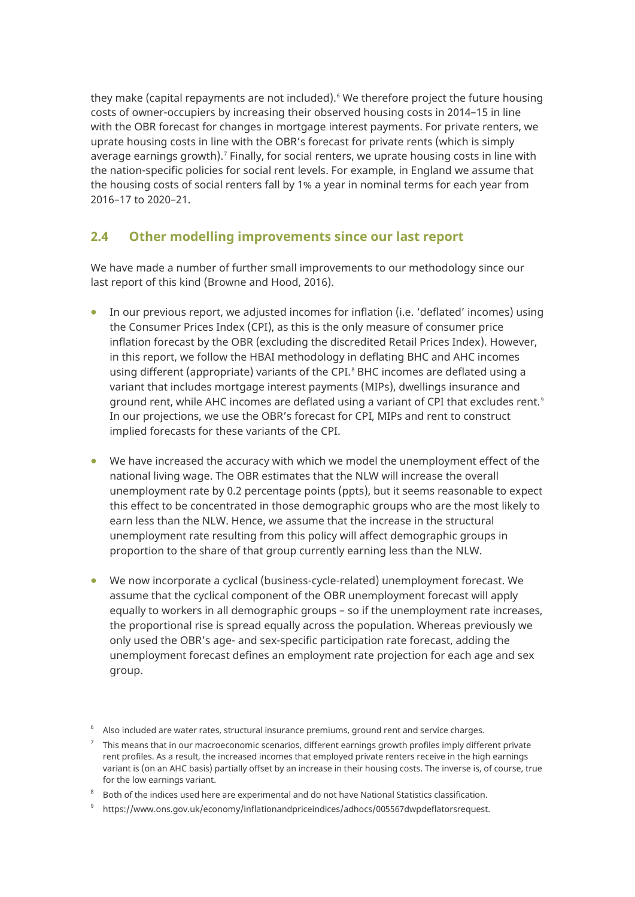they make (capital repayments are not included).<sup>[6](#page-13-1)</sup> We therefore project the future housing costs of owner-occupiers by increasing their observed housing costs in 2014–15 in line with the OBR forecast for changes in mortgage interest payments. For private renters, we uprate housing costs in line with the OBR's forecast for private rents (which is simply average earnings growth).<sup>[7](#page-13-2)</sup> Finally, for social renters, we uprate housing costs in line with the nation-specific policies for social rent levels. For example, in England we assume that the housing costs of social renters fall by 1% a year in nominal terms for each year from 2016–17 to 2020–21.

### <span id="page-13-0"></span>**2.4 Other modelling improvements since our last report**

We have made a number of further small improvements to our methodology since our last report of this kind (Browne and Hood, 2016).

- In our previous report, we adjusted incomes for inflation (i.e. 'deflated' incomes) using the Consumer Prices Index (CPI), as this is the only measure of consumer price inflation forecast by the OBR (excluding the discredited Retail Prices Index). However, in this report, we follow the HBAI methodology in deflating BHC and AHC incomes using different (appropriate) variants of the CPI.<sup>[8](#page-13-3)</sup> BHC incomes are deflated using a variant that includes mortgage interest payments (MIPs), dwellings insurance and ground rent, while AHC incomes are deflated using a variant of CPI that excludes rent.<sup>[9](#page-13-4)</sup> In our projections, we use the OBR's forecast for CPI, MIPs and rent to construct implied forecasts for these variants of the CPI.
- We have increased the accuracy with which we model the unemployment effect of the national living wage. The OBR estimates that the NLW will increase the overall unemployment rate by 0.2 percentage points (ppts), but it seems reasonable to expect this effect to be concentrated in those demographic groups who are the most likely to earn less than the NLW. Hence, we assume that the increase in the structural unemployment rate resulting from this policy will affect demographic groups in proportion to the share of that group currently earning less than the NLW.
- We now incorporate a cyclical (business-cycle-related) unemployment forecast. We assume that the cyclical component of the OBR unemployment forecast will apply equally to workers in all demographic groups – so if the unemployment rate increases, the proportional rise is spread equally across the population. Whereas previously we only used the OBR's age- and sex-specific participation rate forecast, adding the unemployment forecast defines an employment rate projection for each age and sex group.

<span id="page-13-1"></span> $^{\rm 6}$   $\,$  Also included are water rates, structural insurance premiums, ground rent and service charges.

<span id="page-13-2"></span><sup>7</sup> This means that in our macroeconomic scenarios, different earnings growth profiles imply different private rent profiles. As a result, the increased incomes that employed private renters receive in the high earnings variant is (on an AHC basis) partially offset by an increase in their housing costs. The inverse is, of course, true for the low earnings variant.

<span id="page-13-3"></span> $^{\rm 8}$  Both of the indices used here are experimental and do not have National Statistics classification.

<span id="page-13-4"></span><sup>9</sup> [https://www.ons.gov.uk/economy/inflationandpriceindices/adhocs/005567dwpdeflatorsrequest.](https://www.ons.gov.uk/economy/inflationandpriceindices/adhocs/005567dwpdeflatorsrequest)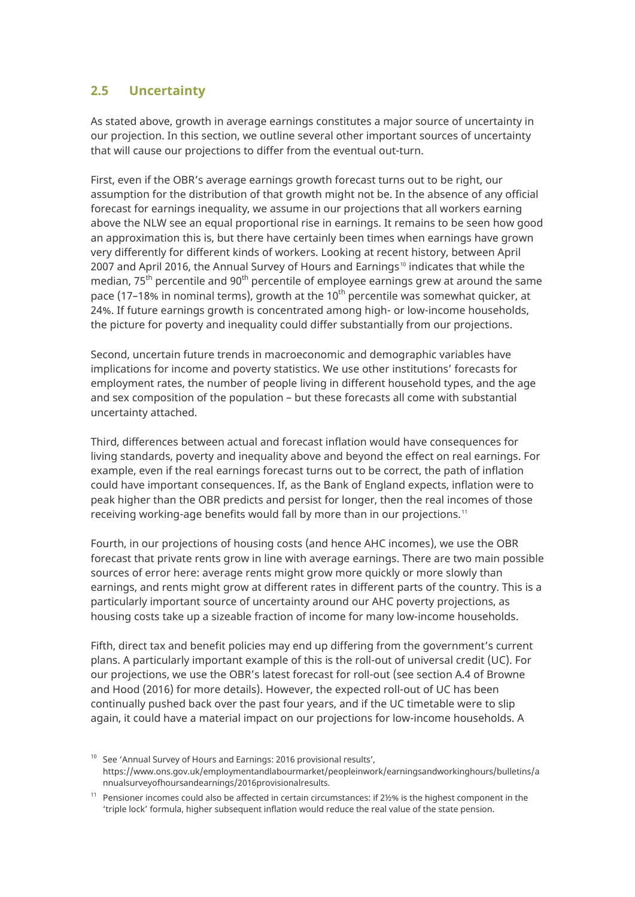#### <span id="page-14-0"></span>**2.5 Uncertainty**

As stated above, growth in average earnings constitutes a major source of uncertainty in our projection. In this section, we outline several other important sources of uncertainty that will cause our projections to differ from the eventual out-turn.

First, even if the OBR's average earnings growth forecast turns out to be right, our assumption for the distribution of that growth might not be. In the absence of any official forecast for earnings inequality, we assume in our projections that all workers earning above the NLW see an equal proportional rise in earnings. It remains to be seen how good an approximation this is, but there have certainly been times when earnings have grown very differently for different kinds of workers. Looking at recent history, between April 2007 and April 2016, the Annual Survey of Hours and Earnings<sup>[10](#page-14-1)</sup> indicates that while the median, 75<sup>th</sup> percentile and 90<sup>th</sup> percentile of employee earnings grew at around the same pace (17–18% in nominal terms), growth at the 10<sup>th</sup> percentile was somewhat quicker, at 24%. If future earnings growth is concentrated among high- or low-income households, the picture for poverty and inequality could differ substantially from our projections.

Second, uncertain future trends in macroeconomic and demographic variables have implications for income and poverty statistics. We use other institutions' forecasts for employment rates, the number of people living in different household types, and the age and sex composition of the population – but these forecasts all come with substantial uncertainty attached.

Third, differences between actual and forecast inflation would have consequences for living standards, poverty and inequality above and beyond the effect on real earnings. For example, even if the real earnings forecast turns out to be correct, the path of inflation could have important consequences. If, as the Bank of England expects, inflation were to peak higher than the OBR predicts and persist for longer, then the real incomes of those receiving working-age benefits would fall by more than in our projections. [11](#page-14-2)

Fourth, in our projections of housing costs (and hence AHC incomes), we use the OBR forecast that private rents grow in line with average earnings. There are two main possible sources of error here: average rents might grow more quickly or more slowly than earnings, and rents might grow at different rates in different parts of the country. This is a particularly important source of uncertainty around our AHC poverty projections, as housing costs take up a sizeable fraction of income for many low-income households.

Fifth, direct tax and benefit policies may end up differing from the government's current plans. A particularly important example of this is the roll-out of universal credit (UC). For our projections, we use the OBR's latest forecast for roll-out (see section A.4 of Browne and Hood (2016) for more details). However, the expected roll-out of UC has been continually pushed back over the past four years, and if the UC timetable were to slip again, it could have a material impact on our projections for low-income households. A

<span id="page-14-1"></span><sup>&</sup>lt;sup>10</sup> See 'Annual Survey of Hours and Earnings: 2016 provisional results', [https://www.ons.gov.uk/employmentandlabourmarket/peopleinwork/earningsandworkinghours/bulletins/a](https://www.ons.gov.uk/employmentandlabourmarket/peopleinwork/earningsandworkinghours/bulletins/annualsurveyofhoursandearnings/2016provisionalresults) [nnualsurveyofhoursandearnings/2016provisionalresults.](https://www.ons.gov.uk/employmentandlabourmarket/peopleinwork/earningsandworkinghours/bulletins/annualsurveyofhoursandearnings/2016provisionalresults)

<span id="page-14-2"></span> $11$  Pensioner incomes could also be affected in certain circumstances: if 2½% is the highest component in the 'triple lock' formula, higher subsequent inflation would reduce the real value of the state pension.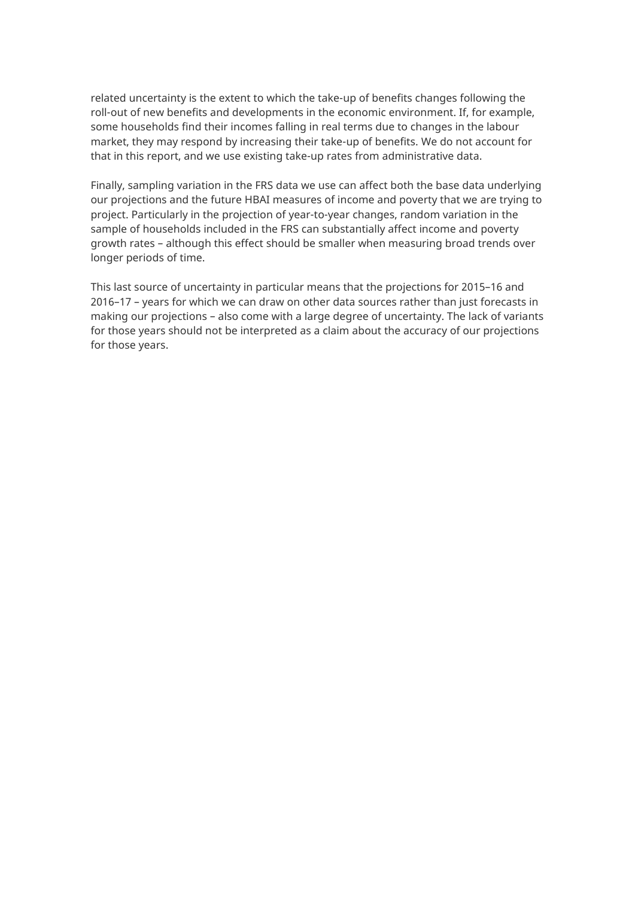related uncertainty is the extent to which the take-up of benefits changes following the roll-out of new benefits and developments in the economic environment. If, for example, some households find their incomes falling in real terms due to changes in the labour market, they may respond by increasing their take-up of benefits. We do not account for that in this report, and we use existing take-up rates from administrative data.

Finally, sampling variation in the FRS data we use can affect both the base data underlying our projections and the future HBAI measures of income and poverty that we are trying to project. Particularly in the projection of year-to-year changes, random variation in the sample of households included in the FRS can substantially affect income and poverty growth rates – although this effect should be smaller when measuring broad trends over longer periods of time.

This last source of uncertainty in particular means that the projections for 2015–16 and 2016–17 – years for which we can draw on other data sources rather than just forecasts in making our projections – also come with a large degree of uncertainty. The lack of variants for those years should not be interpreted as a claim about the accuracy of our projections for those years.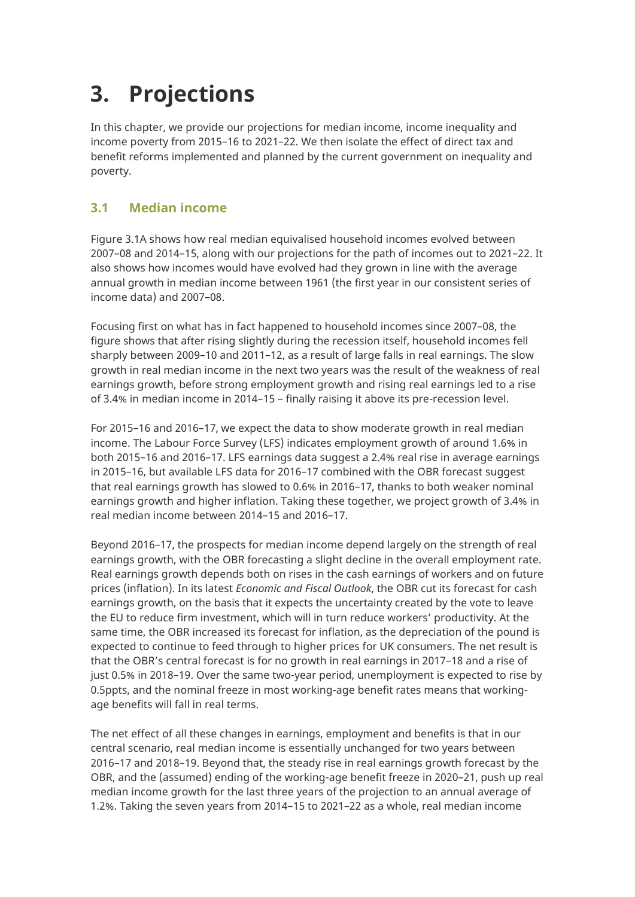# <span id="page-16-0"></span>**3. Projections**

In this chapter, we provide our projections for median income, income inequality and income poverty from 2015–16 to 2021–22. We then isolate the effect of direct tax and benefit reforms implemented and planned by the current government on inequality and poverty.

## <span id="page-16-1"></span>**3.1 Median income**

Figure 3.1A shows how real median equivalised household incomes evolved between 2007–08 and 2014–15, along with our projections for the path of incomes out to 2021–22. It also shows how incomes would have evolved had they grown in line with the average annual growth in median income between 1961 (the first year in our consistent series of income data) and 2007–08.

Focusing first on what has in fact happened to household incomes since 2007–08, the figure shows that after rising slightly during the recession itself, household incomes fell sharply between 2009–10 and 2011–12, as a result of large falls in real earnings. The slow growth in real median income in the next two years was the result of the weakness of real earnings growth, before strong employment growth and rising real earnings led to a rise of 3.4% in median income in 2014–15 – finally raising it above its pre-recession level.

For 2015–16 and 2016–17, we expect the data to show moderate growth in real median income. The Labour Force Survey (LFS) indicates employment growth of around 1.6% in both 2015–16 and 2016–17. LFS earnings data suggest a 2.4% real rise in average earnings in 2015–16, but available LFS data for 2016–17 combined with the OBR forecast suggest that real earnings growth has slowed to 0.6% in 2016–17, thanks to both weaker nominal earnings growth and higher inflation. Taking these together, we project growth of 3.4% in real median income between 2014–15 and 2016–17.

Beyond 2016–17, the prospects for median income depend largely on the strength of real earnings growth, with the OBR forecasting a slight decline in the overall employment rate. Real earnings growth depends both on rises in the cash earnings of workers and on future prices (inflation). In its latest *Economic and Fiscal Outlook*, the OBR cut its forecast for cash earnings growth, on the basis that it expects the uncertainty created by the vote to leave the EU to reduce firm investment, which will in turn reduce workers' productivity. At the same time, the OBR increased its forecast for inflation, as the depreciation of the pound is expected to continue to feed through to higher prices for UK consumers. The net result is that the OBR's central forecast is for no growth in real earnings in 2017–18 and a rise of just 0.5% in 2018–19. Over the same two-year period, unemployment is expected to rise by 0.5ppts, and the nominal freeze in most working-age benefit rates means that workingage benefits will fall in real terms.

The net effect of all these changes in earnings, employment and benefits is that in our central scenario, real median income is essentially unchanged for two years between 2016–17 and 2018–19. Beyond that, the steady rise in real earnings growth forecast by the OBR, and the (assumed) ending of the working-age benefit freeze in 2020–21, push up real median income growth for the last three years of the projection to an annual average of 1.2%. Taking the seven years from 2014–15 to 2021–22 as a whole, real median income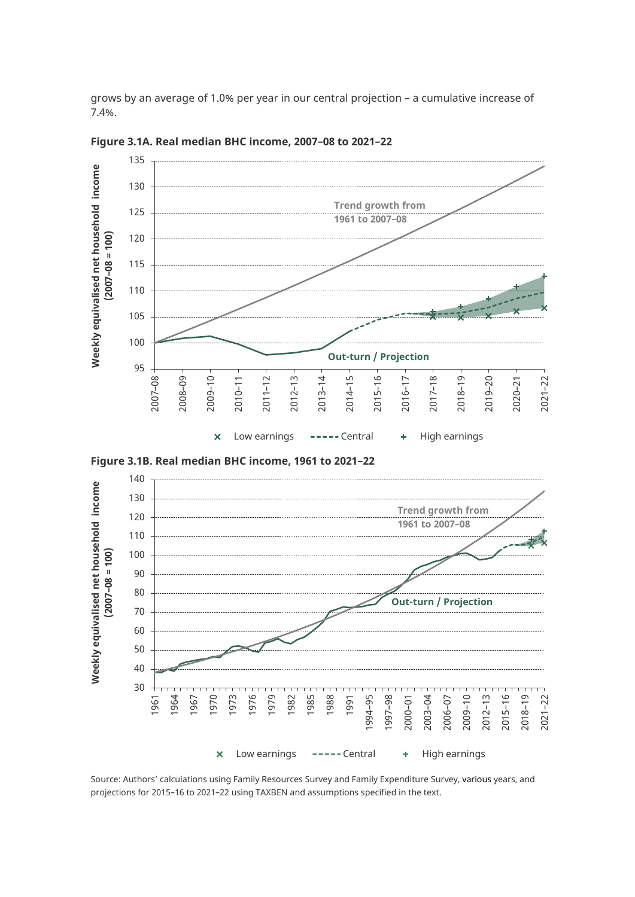grows by an average of 1.0% per year in our central projection – a cumulative increase of 7.4%.



**Figure 3.1A. Real median BHC income, 2007–08 to 2021–22**





Source: Authors' calculations using Family Resources Survey and Family Expenditure Survey, various years, and projections for 2015–16 to 2021–22 using TAXBEN and assumptions specified in the text.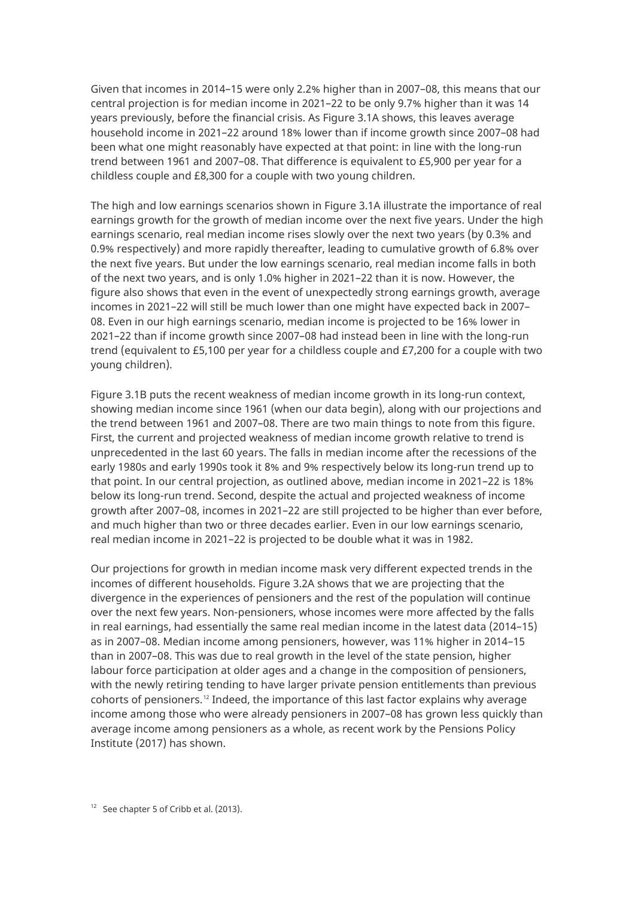Given that incomes in 2014–15 were only 2.2% higher than in 2007–08, this means that our central projection is for median income in 2021–22 to be only 9.7% higher than it was 14 years previously, before the financial crisis. As Figure 3.1A shows, this leaves average household income in 2021–22 around 18% lower than if income growth since 2007–08 had been what one might reasonably have expected at that point: in line with the long-run trend between 1961 and 2007–08. That difference is equivalent to £5,900 per year for a childless couple and £8,300 for a couple with two young children.

The high and low earnings scenarios shown in Figure 3.1A illustrate the importance of real earnings growth for the growth of median income over the next five years. Under the high earnings scenario, real median income rises slowly over the next two years (by 0.3% and 0.9% respectively) and more rapidly thereafter, leading to cumulative growth of 6.8% over the next five years. But under the low earnings scenario, real median income falls in both of the next two years, and is only 1.0% higher in 2021–22 than it is now. However, the figure also shows that even in the event of unexpectedly strong earnings growth, average incomes in 2021–22 will still be much lower than one might have expected back in 2007– 08. Even in our high earnings scenario, median income is projected to be 16% lower in 2021–22 than if income growth since 2007–08 had instead been in line with the long-run trend (equivalent to £5,100 per year for a childless couple and £7,200 for a couple with two young children).

Figure 3.1B puts the recent weakness of median income growth in its long-run context, showing median income since 1961 (when our data begin), along with our projections and the trend between 1961 and 2007–08. There are two main things to note from this figure. First, the current and projected weakness of median income growth relative to trend is unprecedented in the last 60 years. The falls in median income after the recessions of the early 1980s and early 1990s took it 8% and 9% respectively below its long-run trend up to that point. In our central projection, as outlined above, median income in 2021–22 is 18% below its long-run trend. Second, despite the actual and projected weakness of income growth after 2007–08, incomes in 2021–22 are still projected to be higher than ever before, and much higher than two or three decades earlier. Even in our low earnings scenario, real median income in 2021–22 is projected to be double what it was in 1982.

Our projections for growth in median income mask very different expected trends in the incomes of different households. Figure 3.2A shows that we are projecting that the divergence in the experiences of pensioners and the rest of the population will continue over the next few years. Non-pensioners, whose incomes were more affected by the falls in real earnings, had essentially the same real median income in the latest data (2014–15) as in 2007–08. Median income among pensioners, however, was 11% higher in 2014–15 than in 2007–08. This was due to real growth in the level of the state pension, higher labour force participation at older ages and a change in the composition of pensioners, with the newly retiring tending to have larger private pension entitlements than previous cohorts of pensioners.<sup>[12](#page-18-0)</sup> Indeed, the importance of this last factor explains why average income among those who were already pensioners in 2007–08 has grown less quickly than average income among pensioners as a whole, as recent work by the Pensions Policy Institute (2017) has shown.

<span id="page-18-0"></span> $12$  See chapter 5 of Cribb et al. (2013).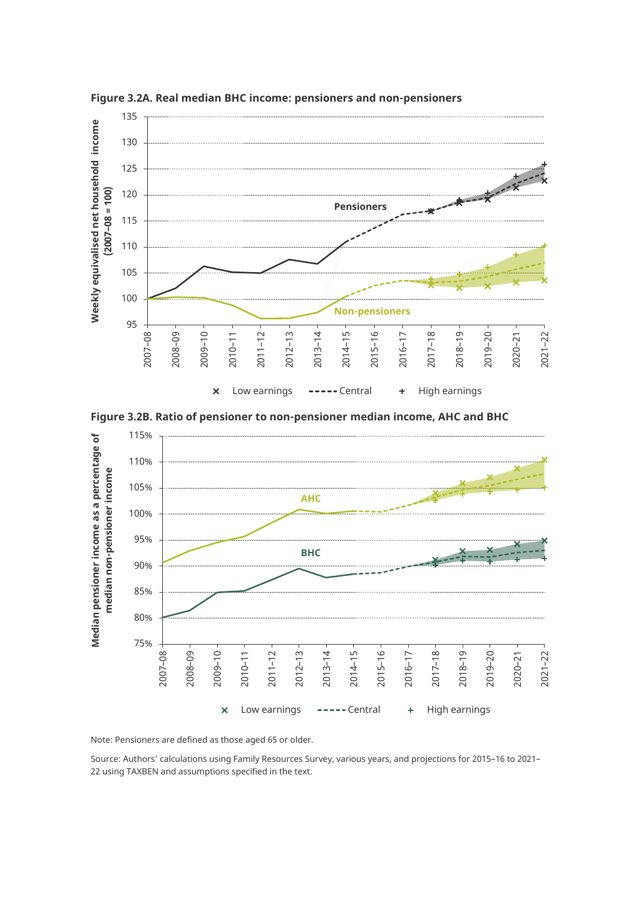

**Figure 3.2A. Real median BHC income: pensioners and non-pensioners** 





Note: Pensioners are defined as those aged 65 or older.

Source: Authors' calculations using Family Resources Survey, various years, and projections for 2015–16 to 2021– 22 using TAXBEN and assumptions specified in the text.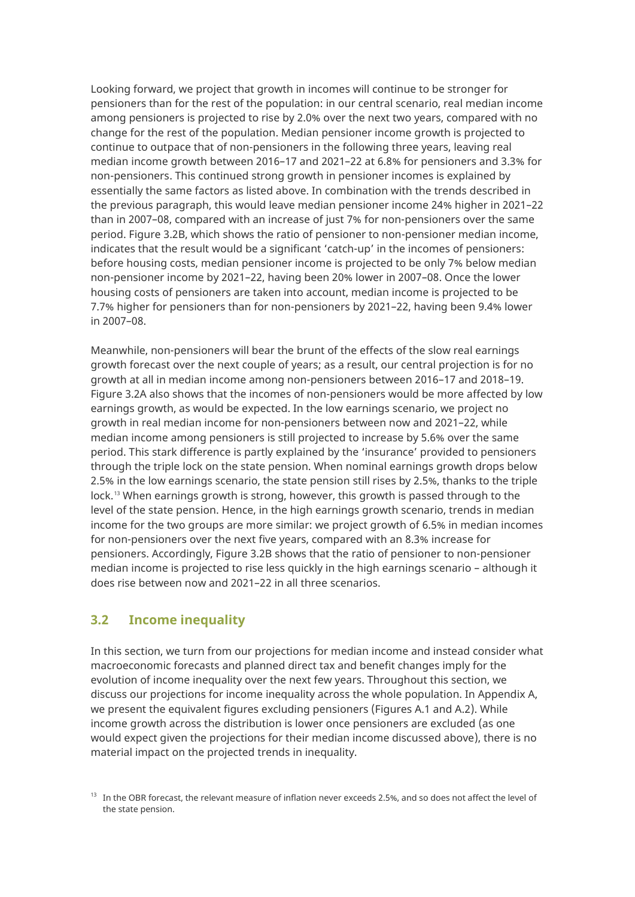Looking forward, we project that growth in incomes will continue to be stronger for pensioners than for the rest of the population: in our central scenario, real median income among pensioners is projected to rise by 2.0% over the next two years, compared with no change for the rest of the population. Median pensioner income growth is projected to continue to outpace that of non-pensioners in the following three years, leaving real median income growth between 2016–17 and 2021–22 at 6.8% for pensioners and 3.3% for non-pensioners. This continued strong growth in pensioner incomes is explained by essentially the same factors as listed above. In combination with the trends described in the previous paragraph, this would leave median pensioner income 24% higher in 2021–22 than in 2007–08, compared with an increase of just 7% for non-pensioners over the same period. Figure 3.2B, which shows the ratio of pensioner to non-pensioner median income, indicates that the result would be a significant 'catch-up' in the incomes of pensioners: before housing costs, median pensioner income is projected to be only 7% below median non-pensioner income by 2021–22, having been 20% lower in 2007–08. Once the lower housing costs of pensioners are taken into account, median income is projected to be 7.7% higher for pensioners than for non-pensioners by 2021–22, having been 9.4% lower in 2007–08.

Meanwhile, non-pensioners will bear the brunt of the effects of the slow real earnings growth forecast over the next couple of years; as a result, our central projection is for no growth at all in median income among non-pensioners between 2016–17 and 2018–19. Figure 3.2A also shows that the incomes of non-pensioners would be more affected by low earnings growth, as would be expected. In the low earnings scenario, we project no growth in real median income for non-pensioners between now and 2021–22, while median income among pensioners is still projected to increase by 5.6% over the same period. This stark difference is partly explained by the 'insurance' provided to pensioners through the triple lock on the state pension. When nominal earnings growth drops below 2.5% in the low earnings scenario, the state pension still rises by 2.5%, thanks to the triple lock.<sup>[13](#page-20-1)</sup> When earnings growth is strong, however, this growth is passed through to the level of the state pension. Hence, in the high earnings growth scenario, trends in median income for the two groups are more similar: we project growth of 6.5% in median incomes for non-pensioners over the next five years, compared with an 8.3% increase for pensioners. Accordingly, Figure 3.2B shows that the ratio of pensioner to non-pensioner median income is projected to rise less quickly in the high earnings scenario – although it does rise between now and 2021–22 in all three scenarios.

#### <span id="page-20-0"></span>**3.2 Income inequality**

In this section, we turn from our projections for median income and instead consider what macroeconomic forecasts and planned direct tax and benefit changes imply for the evolution of income inequality over the next few years. Throughout this section, we discuss our projections for income inequality across the whole population. In Appendix A, we present the equivalent figures excluding pensioners (Figures A.1 and A.2). While income growth across the distribution is lower once pensioners are excluded (as one would expect given the projections for their median income discussed above), there is no material impact on the projected trends in inequality.

<span id="page-20-1"></span><sup>&</sup>lt;sup>13</sup> In the OBR forecast, the relevant measure of inflation never exceeds 2.5%, and so does not affect the level of the state pension.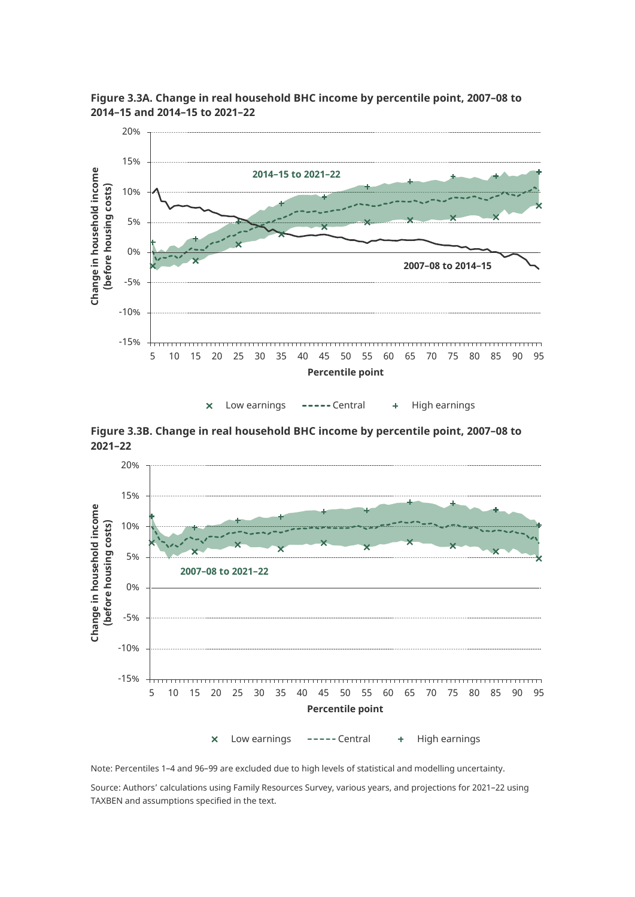

**Figure 3.3A. Change in real household BHC income by percentile point, 2007–08 to 2014–15 and 2014–15 to 2021–22**

Low earnings ----- Central + High earnings  $\overline{\mathsf{x}}$ 

**Figure 3.3B. Change in real household BHC income by percentile point, 2007–08 to 2021–22**



Note: Percentiles 1–4 and 96–99 are excluded due to high levels of statistical and modelling uncertainty.

Source: Authors' calculations using Family Resources Survey, various years, and projections for 2021–22 using TAXBEN and assumptions specified in the text.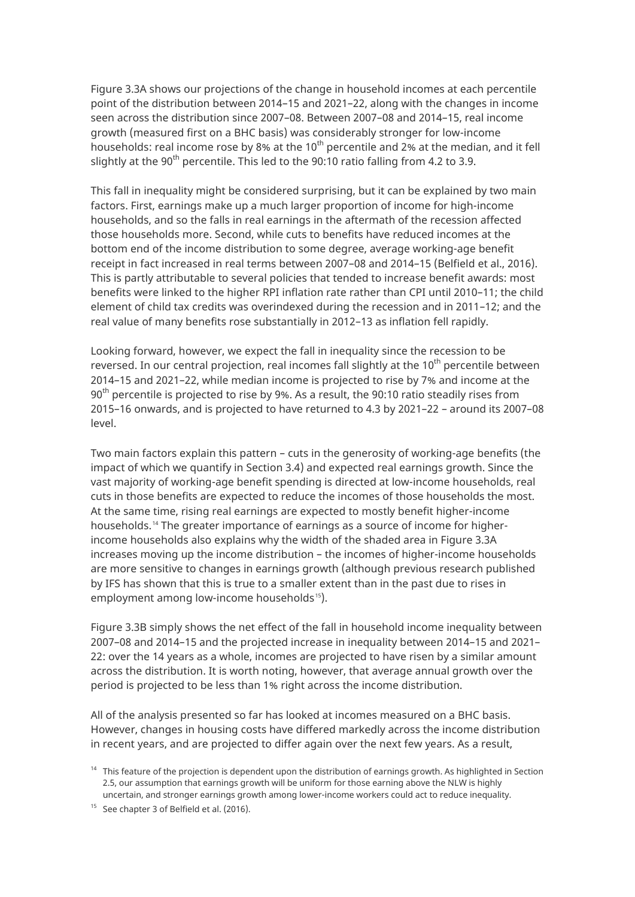Figure 3.3A shows our projections of the change in household incomes at each percentile point of the distribution between 2014–15 and 2021–22, along with the changes in income seen across the distribution since 2007–08. Between 2007–08 and 2014–15, real income growth (measured first on a BHC basis) was considerably stronger for low-income households: real income rose by 8% at the 10<sup>th</sup> percentile and 2% at the median, and it fell slightly at the 90<sup>th</sup> percentile. This led to the 90:10 ratio falling from 4.2 to 3.9.

This fall in inequality might be considered surprising, but it can be explained by two main factors. First, earnings make up a much larger proportion of income for high-income households, and so the falls in real earnings in the aftermath of the recession affected those households more. Second, while cuts to benefits have reduced incomes at the bottom end of the income distribution to some degree, average working-age benefit receipt in fact increased in real terms between 2007–08 and 2014–15 (Belfield et al., 2016). This is partly attributable to several policies that tended to increase benefit awards: most benefits were linked to the higher RPI inflation rate rather than CPI until 2010–11; the child element of child tax credits was overindexed during the recession and in 2011–12; and the real value of many benefits rose substantially in 2012–13 as inflation fell rapidly.

Looking forward, however, we expect the fall in inequality since the recession to be reversed. In our central projection, real incomes fall slightly at the  $10^{th}$  percentile between 2014–15 and 2021–22, while median income is projected to rise by 7% and income at the  $90<sup>th</sup>$  percentile is projected to rise by 9%. As a result, the 90:10 ratio steadily rises from 2015–16 onwards, and is projected to have returned to 4.3 by 2021–22 – around its 2007–08 level.

Two main factors explain this pattern – cuts in the generosity of working-age benefits (the impact of which we quantify in Section 3.4) and expected real earnings growth. Since the vast majority of working-age benefit spending is directed at low-income households, real cuts in those benefits are expected to reduce the incomes of those households the most. At the same time, rising real earnings are expected to mostly benefit higher-income households. [14](#page-22-0) The greater importance of earnings as a source of income for higherincome households also explains why the width of the shaded area in Figure 3.3A increases moving up the income distribution – the incomes of higher-income households are more sensitive to changes in earnings growth (although previous research published by IFS has shown that this is true to a smaller extent than in the past due to rises in employment among low-income households<sup>[15](#page-22-1)</sup>).

Figure 3.3B simply shows the net effect of the fall in household income inequality between 2007–08 and 2014–15 and the projected increase in inequality between 2014–15 and 2021– 22: over the 14 years as a whole, incomes are projected to have risen by a similar amount across the distribution. It is worth noting, however, that average annual growth over the period is projected to be less than 1% right across the income distribution.

All of the analysis presented so far has looked at incomes measured on a BHC basis. However, changes in housing costs have differed markedly across the income distribution in recent years, and are projected to differ again over the next few years. As a result,

<span id="page-22-0"></span> $14$  This feature of the projection is dependent upon the distribution of earnings growth. As highlighted in Section 2.5, our assumption that earnings growth will be uniform for those earning above the NLW is highly uncertain, and stronger earnings growth among lower-income workers could act to reduce inequality.

<span id="page-22-1"></span><sup>&</sup>lt;sup>15</sup> See chapter 3 of Belfield et al. (2016).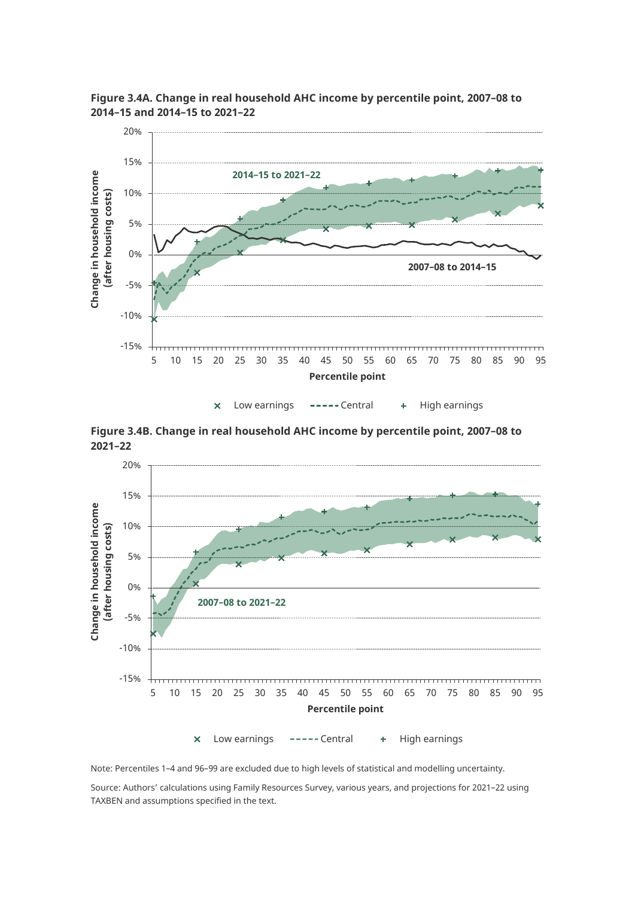

**Figure 3.4A. Change in real household AHC income by percentile point, 2007–08 to 2014–15 and 2014–15 to 2021–22**

Low earnings ----- Central + High earnings  $\overline{\mathsf{x}}$ 

**Figure 3.4B. Change in real household AHC income by percentile point, 2007–08 to 2021–22**



Note: Percentiles 1–4 and 96–99 are excluded due to high levels of statistical and modelling uncertainty.

Source: Authors' calculations using Family Resources Survey, various years, and projections for 2021–22 using TAXBEN and assumptions specified in the text.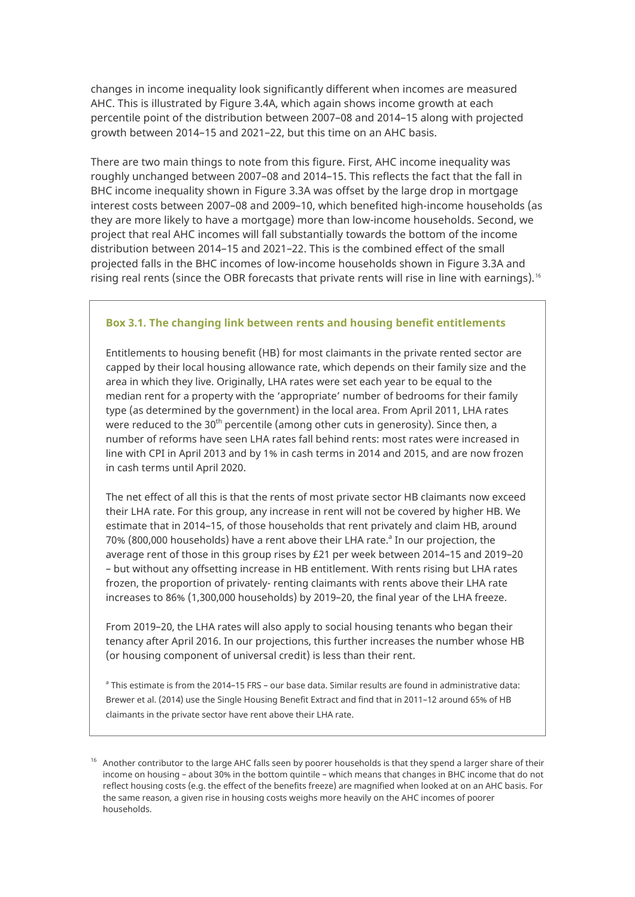changes in income inequality look significantly different when incomes are measured AHC. This is illustrated by Figure 3.4A, which again shows income growth at each percentile point of the distribution between 2007–08 and 2014–15 along with projected growth between 2014–15 and 2021–22, but this time on an AHC basis.

There are two main things to note from this figure. First, AHC income inequality was roughly unchanged between 2007–08 and 2014–15. This reflects the fact that the fall in BHC income inequality shown in Figure 3.3A was offset by the large drop in mortgage interest costs between 2007–08 and 2009–10, which benefited high-income households (as they are more likely to have a mortgage) more than low-income households. Second, we project that real AHC incomes will fall substantially towards the bottom of the income distribution between 2014–15 and 2021–22. This is the combined effect of the small projected falls in the BHC incomes of low-income households shown in Figure 3.3A and rising real rents (since the OBR forecasts that private rents will rise in line with earnings).<sup>[16](#page-24-0)</sup>

#### **Box 3.1. The changing link between rents and housing benefit entitlements**

Entitlements to housing benefit (HB) for most claimants in the private rented sector are capped by their local housing allowance rate, which depends on their family size and the area in which they live. Originally, LHA rates were set each year to be equal to the median rent for a property with the 'appropriate' number of bedrooms for their family type (as determined by the government) in the local area. From April 2011, LHA rates were reduced to the 30<sup>th</sup> percentile (among other cuts in generosity). Since then, a number of reforms have seen LHA rates fall behind rents: most rates were increased in line with CPI in April 2013 and by 1% in cash terms in 2014 and 2015, and are now frozen in cash terms until April 2020.

The net effect of all this is that the rents of most private sector HB claimants now exceed their LHA rate. For this group, any increase in rent will not be covered by higher HB. We estimate that in 2014–15, of those households that rent privately and claim HB, around 70% (800,000 households) have a rent above their LHA rate.<sup>a</sup> In our projection, the average rent of those in this group rises by £21 per week between 2014–15 and 2019–20 – but without any offsetting increase in HB entitlement. With rents rising but LHA rates frozen, the proportion of privately- renting claimants with rents above their LHA rate increases to 86% (1,300,000 households) by 2019–20, the final year of the LHA freeze.

From 2019–20, the LHA rates will also apply to social housing tenants who began their tenancy after April 2016. In our projections, this further increases the number whose HB (or housing component of universal credit) is less than their rent.

<sup>a</sup> This estimate is from the 2014–15 FRS – our base data. Similar results are found in administrative data: Brewer et al. (2014) use the Single Housing Benefit Extract and find that in 2011–12 around 65% of HB claimants in the private sector have rent above their LHA rate.

<span id="page-24-0"></span> $16$  Another contributor to the large AHC falls seen by poorer households is that they spend a larger share of their income on housing – about 30% in the bottom quintile – which means that changes in BHC income that do not reflect housing costs (e.g. the effect of the benefits freeze) are magnified when looked at on an AHC basis. For the same reason, a given rise in housing costs weighs more heavily on the AHC incomes of poorer households.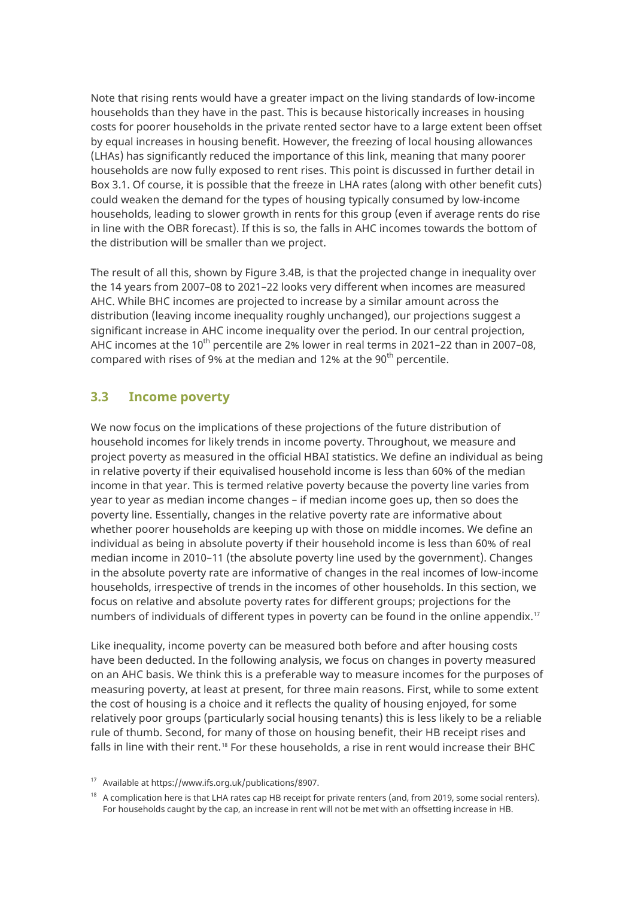Note that rising rents would have a greater impact on the living standards of low-income households than they have in the past. This is because historically increases in housing costs for poorer households in the private rented sector have to a large extent been offset by equal increases in housing benefit. However, the freezing of local housing allowances (LHAs) has significantly reduced the importance of this link, meaning that many poorer households are now fully exposed to rent rises. This point is discussed in further detail in Box 3.1. Of course, it is possible that the freeze in LHA rates (along with other benefit cuts) could weaken the demand for the types of housing typically consumed by low-income households, leading to slower growth in rents for this group (even if average rents do rise in line with the OBR forecast). If this is so, the falls in AHC incomes towards the bottom of the distribution will be smaller than we project.

The result of all this, shown by Figure 3.4B, is that the projected change in inequality over the 14 years from 2007–08 to 2021–22 looks very different when incomes are measured AHC. While BHC incomes are projected to increase by a similar amount across the distribution (leaving income inequality roughly unchanged), our projections suggest a significant increase in AHC income inequality over the period. In our central projection, AHC incomes at the 10<sup>th</sup> percentile are 2% lower in real terms in 2021–22 than in 2007–08, compared with rises of 9% at the median and 12% at the 90<sup>th</sup> percentile.

#### <span id="page-25-0"></span>**3.3 Income poverty**

We now focus on the implications of these projections of the future distribution of household incomes for likely trends in income poverty. Throughout, we measure and project poverty as measured in the official HBAI statistics. We define an individual as being in relative poverty if their equivalised household income is less than 60% of the median income in that year. This is termed relative poverty because the poverty line varies from year to year as median income changes – if median income goes up, then so does the poverty line. Essentially, changes in the relative poverty rate are informative about whether poorer households are keeping up with those on middle incomes. We define an individual as being in absolute poverty if their household income is less than 60% of real median income in 2010–11 (the absolute poverty line used by the government). Changes in the absolute poverty rate are informative of changes in the real incomes of low-income households, irrespective of trends in the incomes of other households. In this section, we focus on relative and absolute poverty rates for different groups; projections for the numbers of individuals of different types in poverty can be found in the online appendix.<sup>[17](#page-25-1)</sup>

Like inequality, income poverty can be measured both before and after housing costs have been deducted. In the following analysis, we focus on changes in poverty measured on an AHC basis. We think this is a preferable way to measure incomes for the purposes of measuring poverty, at least at present, for three main reasons. First, while to some extent the cost of housing is a choice and it reflects the quality of housing enjoyed, for some relatively poor groups (particularly social housing tenants) this is less likely to be a reliable rule of thumb. Second, for many of those on housing benefit, their HB receipt rises and falls in line with their rent.<sup>[18](#page-25-2)</sup> For these households, a rise in rent would increase their BHC

<span id="page-25-1"></span><sup>17</sup> Available a[t https://www.ifs.org.uk/publications/8907.](https://www.ifs.org.uk/publications/8907)

<span id="page-25-2"></span><sup>&</sup>lt;sup>18</sup> A complication here is that LHA rates cap HB receipt for private renters (and, from 2019, some social renters). For households caught by the cap, an increase in rent will not be met with an offsetting increase in HB.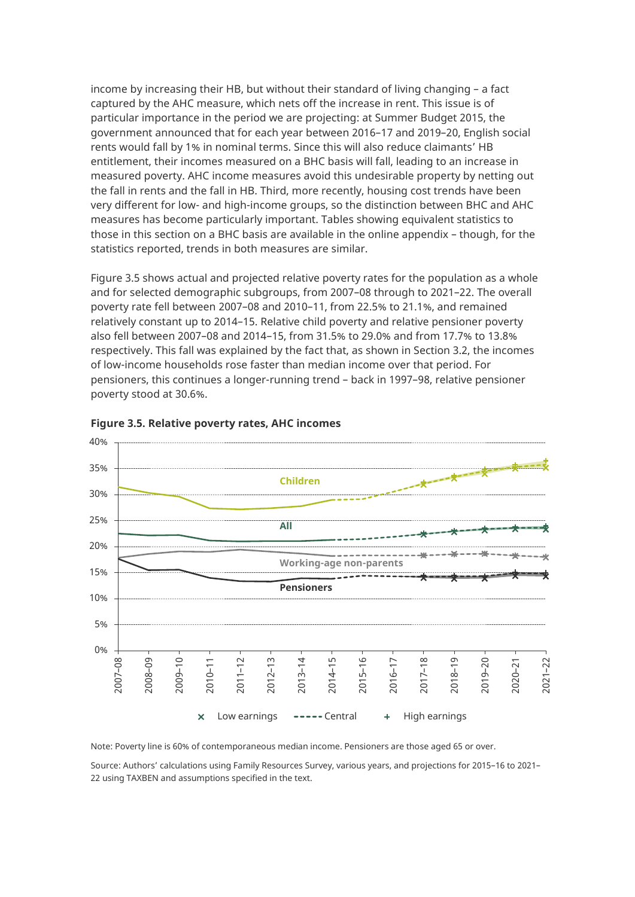income by increasing their HB, but without their standard of living changing – a fact captured by the AHC measure, which nets off the increase in rent. This issue is of particular importance in the period we are projecting: at Summer Budget 2015, the government announced that for each year between 2016–17 and 2019–20, English social rents would fall by 1% in nominal terms. Since this will also reduce claimants' HB entitlement, their incomes measured on a BHC basis will fall, leading to an increase in measured poverty. AHC income measures avoid this undesirable property by netting out the fall in rents and the fall in HB. Third, more recently, housing cost trends have been very different for low- and high-income groups, so the distinction between BHC and AHC measures has become particularly important. Tables showing equivalent statistics to those in this section on a BHC basis are available in the online appendix – though, for the statistics reported, trends in both measures are similar.

Figure 3.5 shows actual and projected relative poverty rates for the population as a whole and for selected demographic subgroups, from 2007–08 through to 2021–22. The overall poverty rate fell between 2007–08 and 2010–11, from 22.5% to 21.1%, and remained relatively constant up to 2014–15. Relative child poverty and relative pensioner poverty also fell between 2007–08 and 2014–15, from 31.5% to 29.0% and from 17.7% to 13.8% respectively. This fall was explained by the fact that, as shown in Section 3.2, the incomes of low-income households rose faster than median income over that period. For pensioners, this continues a longer-running trend – back in 1997–98, relative pensioner poverty stood at 30.6%.





Note: Poverty line is 60% of contemporaneous median income. Pensioners are those aged 65 or over.

Source: Authors' calculations using Family Resources Survey, various years, and projections for 2015–16 to 2021– 22 using TAXBEN and assumptions specified in the text.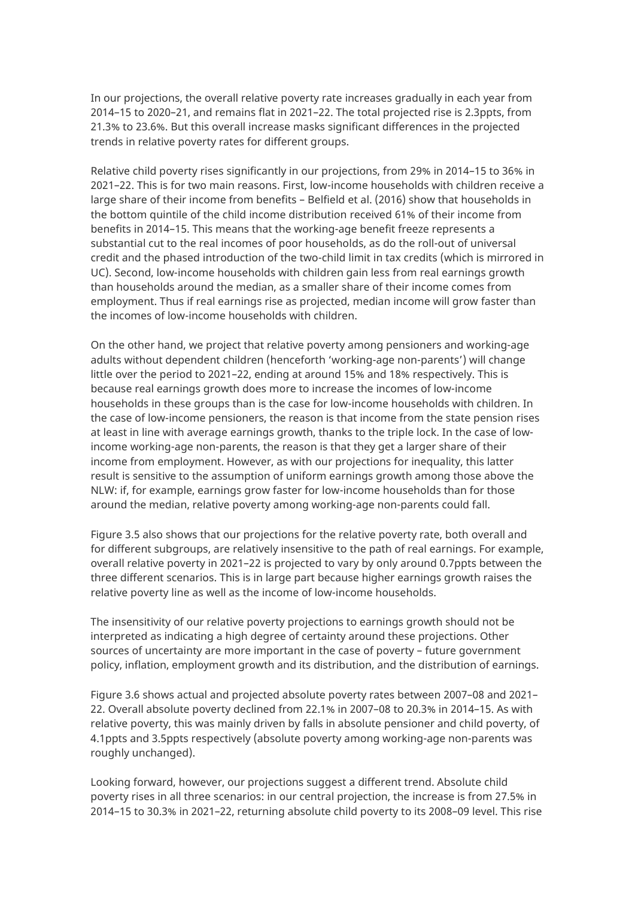In our projections, the overall relative poverty rate increases gradually in each year from 2014–15 to 2020–21, and remains flat in 2021–22. The total projected rise is 2.3ppts, from 21.3% to 23.6%. But this overall increase masks significant differences in the projected trends in relative poverty rates for different groups.

Relative child poverty rises significantly in our projections, from 29% in 2014–15 to 36% in 2021–22. This is for two main reasons. First, low-income households with children receive a large share of their income from benefits – Belfield et al. (2016) show that households in the bottom quintile of the child income distribution received 61% of their income from benefits in 2014–15. This means that the working-age benefit freeze represents a substantial cut to the real incomes of poor households, as do the roll-out of universal credit and the phased introduction of the two-child limit in tax credits (which is mirrored in UC). Second, low-income households with children gain less from real earnings growth than households around the median, as a smaller share of their income comes from employment. Thus if real earnings rise as projected, median income will grow faster than the incomes of low-income households with children.

On the other hand, we project that relative poverty among pensioners and working-age adults without dependent children (henceforth 'working-age non-parents') will change little over the period to 2021–22, ending at around 15% and 18% respectively. This is because real earnings growth does more to increase the incomes of low-income households in these groups than is the case for low-income households with children. In the case of low-income pensioners, the reason is that income from the state pension rises at least in line with average earnings growth, thanks to the triple lock. In the case of lowincome working-age non-parents, the reason is that they get a larger share of their income from employment. However, as with our projections for inequality, this latter result is sensitive to the assumption of uniform earnings growth among those above the NLW: if, for example, earnings grow faster for low-income households than for those around the median, relative poverty among working-age non-parents could fall.

Figure 3.5 also shows that our projections for the relative poverty rate, both overall and for different subgroups, are relatively insensitive to the path of real earnings. For example, overall relative poverty in 2021–22 is projected to vary by only around 0.7ppts between the three different scenarios. This is in large part because higher earnings growth raises the relative poverty line as well as the income of low-income households.

The insensitivity of our relative poverty projections to earnings growth should not be interpreted as indicating a high degree of certainty around these projections. Other sources of uncertainty are more important in the case of poverty – future government policy, inflation, employment growth and its distribution, and the distribution of earnings.

Figure 3.6 shows actual and projected absolute poverty rates between 2007–08 and 2021– 22. Overall absolute poverty declined from 22.1% in 2007–08 to 20.3% in 2014–15. As with relative poverty, this was mainly driven by falls in absolute pensioner and child poverty, of 4.1ppts and 3.5ppts respectively (absolute poverty among working-age non-parents was roughly unchanged).

Looking forward, however, our projections suggest a different trend. Absolute child poverty rises in all three scenarios: in our central projection, the increase is from 27.5% in 2014–15 to 30.3% in 2021–22, returning absolute child poverty to its 2008–09 level. This rise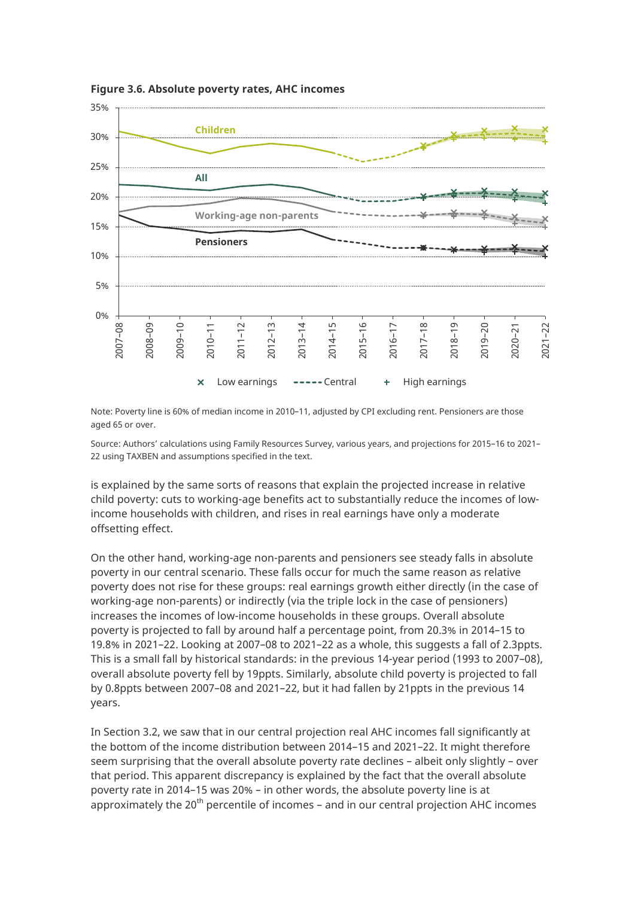

**Figure 3.6. Absolute poverty rates, AHC incomes**

Note: Poverty line is 60% of median income in 2010–11, adjusted by CPI excluding rent. Pensioners are those aged 65 or over.

Source: Authors' calculations using Family Resources Survey, various years, and projections for 2015–16 to 2021– 22 using TAXBEN and assumptions specified in the text.

is explained by the same sorts of reasons that explain the projected increase in relative child poverty: cuts to working-age benefits act to substantially reduce the incomes of lowincome households with children, and rises in real earnings have only a moderate offsetting effect.

On the other hand, working-age non-parents and pensioners see steady falls in absolute poverty in our central scenario. These falls occur for much the same reason as relative poverty does not rise for these groups: real earnings growth either directly (in the case of working-age non-parents) or indirectly (via the triple lock in the case of pensioners) increases the incomes of low-income households in these groups. Overall absolute poverty is projected to fall by around half a percentage point, from 20.3% in 2014–15 to 19.8% in 2021–22. Looking at 2007–08 to 2021–22 as a whole, this suggests a fall of 2.3ppts. This is a small fall by historical standards: in the previous 14-year period (1993 to 2007–08), overall absolute poverty fell by 19ppts. Similarly, absolute child poverty is projected to fall by 0.8ppts between 2007–08 and 2021–22, but it had fallen by 21ppts in the previous 14 years.

In Section 3.2, we saw that in our central projection real AHC incomes fall significantly at the bottom of the income distribution between 2014–15 and 2021–22. It might therefore seem surprising that the overall absolute poverty rate declines – albeit only slightly – over that period. This apparent discrepancy is explained by the fact that the overall absolute poverty rate in 2014–15 was 20% – in other words, the absolute poverty line is at approximately the  $20^{th}$  percentile of incomes – and in our central projection AHC incomes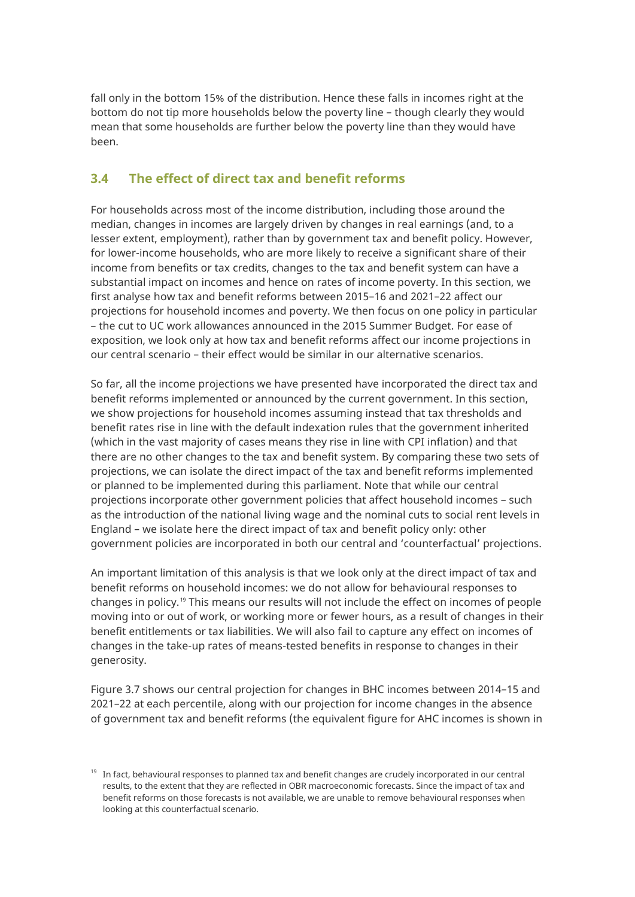fall only in the bottom 15% of the distribution. Hence these falls in incomes right at the bottom do not tip more households below the poverty line – though clearly they would mean that some households are further below the poverty line than they would have been.

#### <span id="page-29-0"></span>**3.4 The effect of direct tax and benefit reforms**

For households across most of the income distribution, including those around the median, changes in incomes are largely driven by changes in real earnings (and, to a lesser extent, employment), rather than by government tax and benefit policy. However, for lower-income households, who are more likely to receive a significant share of their income from benefits or tax credits, changes to the tax and benefit system can have a substantial impact on incomes and hence on rates of income poverty. In this section, we first analyse how tax and benefit reforms between 2015–16 and 2021–22 affect our projections for household incomes and poverty. We then focus on one policy in particular – the cut to UC work allowances announced in the 2015 Summer Budget. For ease of exposition, we look only at how tax and benefit reforms affect our income projections in our central scenario – their effect would be similar in our alternative scenarios.

So far, all the income projections we have presented have incorporated the direct tax and benefit reforms implemented or announced by the current government. In this section, we show projections for household incomes assuming instead that tax thresholds and benefit rates rise in line with the default indexation rules that the government inherited (which in the vast majority of cases means they rise in line with CPI inflation) and that there are no other changes to the tax and benefit system. By comparing these two sets of projections, we can isolate the direct impact of the tax and benefit reforms implemented or planned to be implemented during this parliament. Note that while our central projections incorporate other government policies that affect household incomes – such as the introduction of the national living wage and the nominal cuts to social rent levels in England – we isolate here the direct impact of tax and benefit policy only: other government policies are incorporated in both our central and 'counterfactual' projections.

An important limitation of this analysis is that we look only at the direct impact of tax and benefit reforms on household incomes: we do not allow for behavioural responses to changes in policy.[19](#page-29-1) This means our results will not include the effect on incomes of people moving into or out of work, or working more or fewer hours, as a result of changes in their benefit entitlements or tax liabilities. We will also fail to capture any effect on incomes of changes in the take-up rates of means-tested benefits in response to changes in their generosity.

Figure 3.7 shows our central projection for changes in BHC incomes between 2014–15 and 2021–22 at each percentile, along with our projection for income changes in the absence of government tax and benefit reforms (the equivalent figure for AHC incomes is shown in

<span id="page-29-1"></span> $19$  In fact, behavioural responses to planned tax and benefit changes are crudely incorporated in our central results, to the extent that they are reflected in OBR macroeconomic forecasts. Since the impact of tax and benefit reforms on those forecasts is not available, we are unable to remove behavioural responses when looking at this counterfactual scenario.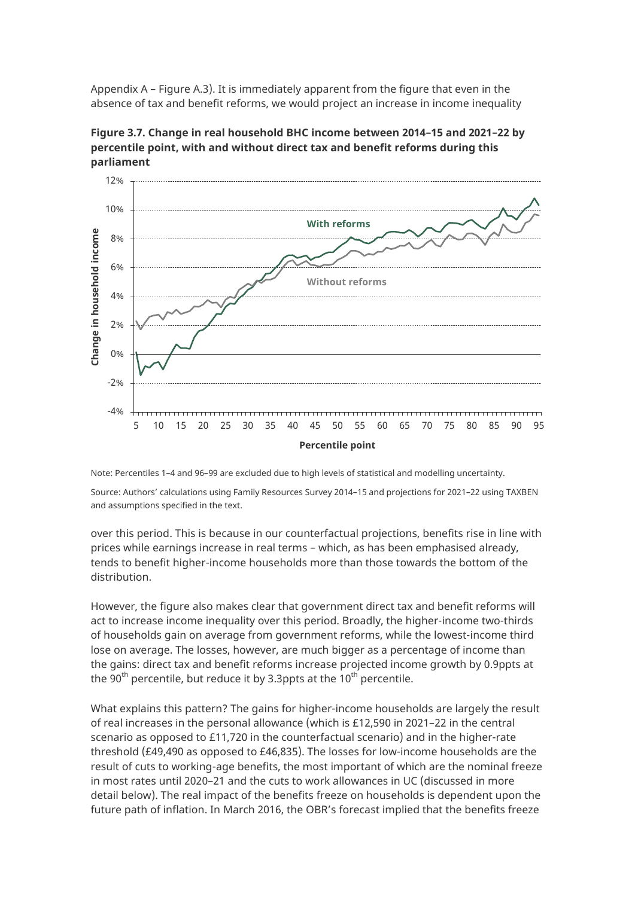Appendix A – Figure A.3). It is immediately apparent from the figure that even in the absence of tax and benefit reforms, we would project an increase in income inequality

**Figure 3.7. Change in real household BHC income between 2014–15 and 2021–22 by percentile point, with and without direct tax and benefit reforms during this parliament**



Note: Percentiles 1–4 and 96–99 are excluded due to high levels of statistical and modelling uncertainty.

Source: Authors' calculations using Family Resources Survey 2014–15 and projections for 2021–22 using TAXBEN and assumptions specified in the text.

over this period. This is because in our counterfactual projections, benefits rise in line with prices while earnings increase in real terms – which, as has been emphasised already, tends to benefit higher-income households more than those towards the bottom of the distribution.

However, the figure also makes clear that government direct tax and benefit reforms will act to increase income inequality over this period. Broadly, the higher-income two-thirds of households gain on average from government reforms, while the lowest-income third lose on average. The losses, however, are much bigger as a percentage of income than the gains: direct tax and benefit reforms increase projected income growth by 0.9ppts at the 90<sup>th</sup> percentile, but reduce it by 3.3ppts at the 10<sup>th</sup> percentile.

What explains this pattern? The gains for higher-income households are largely the result of real increases in the personal allowance (which is £12,590 in 2021–22 in the central scenario as opposed to £11,720 in the counterfactual scenario) and in the higher-rate threshold (£49,490 as opposed to £46,835). The losses for low-income households are the result of cuts to working-age benefits, the most important of which are the nominal freeze in most rates until 2020–21 and the cuts to work allowances in UC (discussed in more detail below). The real impact of the benefits freeze on households is dependent upon the future path of inflation. In March 2016, the OBR's forecast implied that the benefits freeze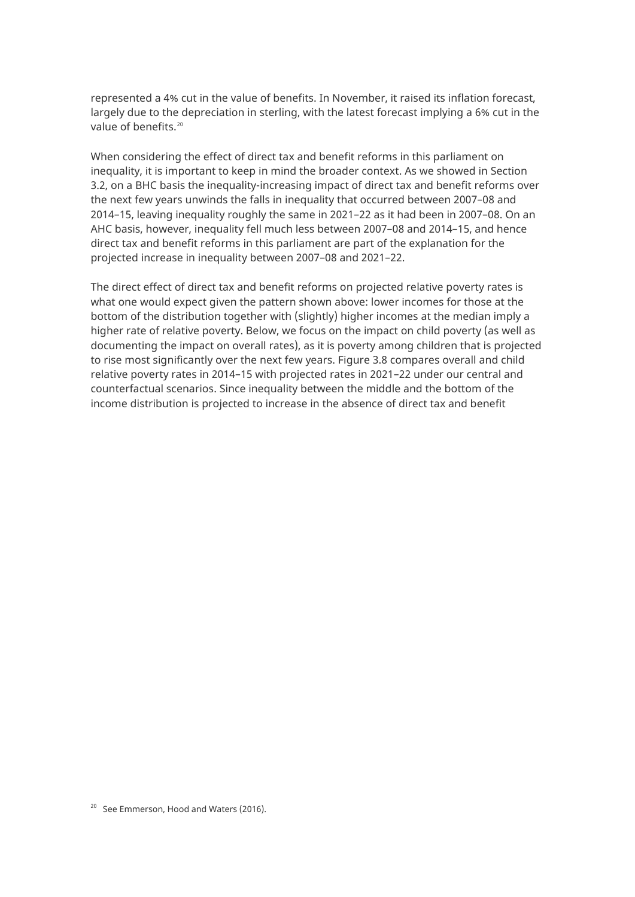represented a 4% cut in the value of benefits. In November, it raised its inflation forecast, largely due to the depreciation in sterling, with the latest forecast implying a 6% cut in the value of benefits.[20](#page-31-0)

When considering the effect of direct tax and benefit reforms in this parliament on inequality, it is important to keep in mind the broader context. As we showed in Section 3.2, on a BHC basis the inequality-increasing impact of direct tax and benefit reforms over the next few years unwinds the falls in inequality that occurred between 2007–08 and 2014–15, leaving inequality roughly the same in 2021–22 as it had been in 2007–08. On an AHC basis, however, inequality fell much less between 2007–08 and 2014–15, and hence direct tax and benefit reforms in this parliament are part of the explanation for the projected increase in inequality between 2007–08 and 2021–22.

<span id="page-31-0"></span>The direct effect of direct tax and benefit reforms on projected relative poverty rates is what one would expect given the pattern shown above: lower incomes for those at the bottom of the distribution together with (slightly) higher incomes at the median imply a higher rate of relative poverty. Below, we focus on the impact on child poverty (as well as documenting the impact on overall rates), as it is poverty among children that is projected to rise most significantly over the next few years. Figure 3.8 compares overall and child relative poverty rates in 2014–15 with projected rates in 2021–22 under our central and counterfactual scenarios. Since inequality between the middle and the bottom of the income distribution is projected to increase in the absence of direct tax and benefit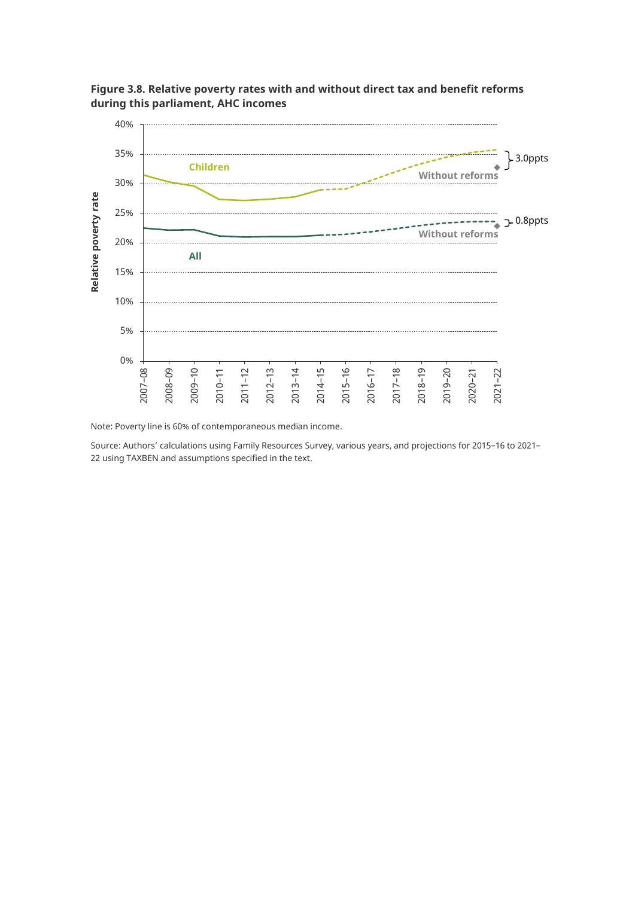

**Figure 3.8. Relative poverty rates with and without direct tax and benefit reforms during this parliament, AHC incomes**

Note: Poverty line is 60% of contemporaneous median income.

Source: Authors' calculations using Family Resources Survey, various years, and projections for 2015–16 to 2021– 22 using TAXBEN and assumptions specified in the text.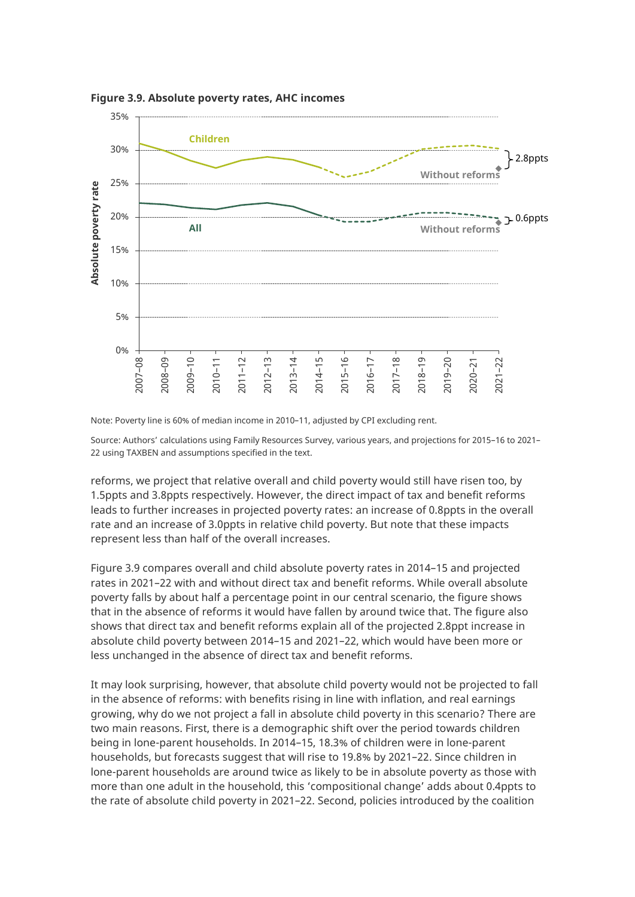

**Figure 3.9. Absolute poverty rates, AHC incomes**

Note: Poverty line is 60% of median income in 2010–11, adjusted by CPI excluding rent.

Source: Authors' calculations using Family Resources Survey, various years, and projections for 2015–16 to 2021– 22 using TAXBEN and assumptions specified in the text.

reforms, we project that relative overall and child poverty would still have risen too, by 1.5ppts and 3.8ppts respectively. However, the direct impact of tax and benefit reforms leads to further increases in projected poverty rates: an increase of 0.8ppts in the overall rate and an increase of 3.0ppts in relative child poverty. But note that these impacts represent less than half of the overall increases.

Figure 3.9 compares overall and child absolute poverty rates in 2014–15 and projected rates in 2021–22 with and without direct tax and benefit reforms. While overall absolute poverty falls by about half a percentage point in our central scenario, the figure shows that in the absence of reforms it would have fallen by around twice that. The figure also shows that direct tax and benefit reforms explain all of the projected 2.8ppt increase in absolute child poverty between 2014–15 and 2021–22, which would have been more or less unchanged in the absence of direct tax and benefit reforms.

It may look surprising, however, that absolute child poverty would not be projected to fall in the absence of reforms: with benefits rising in line with inflation, and real earnings growing, why do we not project a fall in absolute child poverty in this scenario? There are two main reasons. First, there is a demographic shift over the period towards children being in lone-parent households. In 2014–15, 18.3% of children were in lone-parent households, but forecasts suggest that will rise to 19.8% by 2021–22. Since children in lone-parent households are around twice as likely to be in absolute poverty as those with more than one adult in the household, this 'compositional change' adds about 0.4ppts to the rate of absolute child poverty in 2021–22. Second, policies introduced by the coalition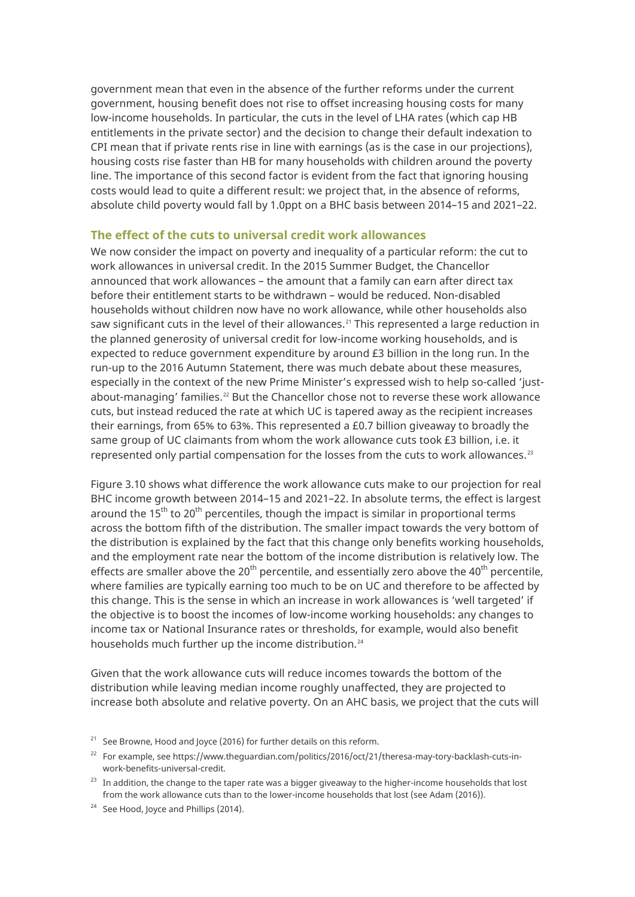government mean that even in the absence of the further reforms under the current government, housing benefit does not rise to offset increasing housing costs for many low-income households. In particular, the cuts in the level of LHA rates (which cap HB entitlements in the private sector) and the decision to change their default indexation to CPI mean that if private rents rise in line with earnings (as is the case in our projections), housing costs rise faster than HB for many households with children around the poverty line. The importance of this second factor is evident from the fact that ignoring housing costs would lead to quite a different result: we project that, in the absence of reforms, absolute child poverty would fall by 1.0ppt on a BHC basis between 2014–15 and 2021–22.

#### **The effect of the cuts to universal credit work allowances**

We now consider the impact on poverty and inequality of a particular reform: the cut to work allowances in universal credit. In the 2015 Summer Budget, the Chancellor announced that work allowances – the amount that a family can earn after direct tax before their entitlement starts to be withdrawn – would be reduced. Non-disabled households without children now have no work allowance, while other households also saw significant cuts in the level of their allowances.<sup>[21](#page-34-0)</sup> This represented a large reduction in the planned generosity of universal credit for low-income working households, and is expected to reduce government expenditure by around £3 billion in the long run. In the run-up to the 2016 Autumn Statement, there was much debate about these measures, especially in the context of the new Prime Minister's expressed wish to help so-called 'justabout-managing' families. $^{22}$  $^{22}$  $^{22}$  But the Chancellor chose not to reverse these work allowance cuts, but instead reduced the rate at which UC is tapered away as the recipient increases their earnings, from 65% to 63%. This represented a £0.7 billion giveaway to broadly the same group of UC claimants from whom the work allowance cuts took £3 billion, i.e. it represented only partial compensation for the losses from the cuts to work allowances. $^{23}$  $^{23}$  $^{23}$ 

Figure 3.10 shows what difference the work allowance cuts make to our projection for real BHC income growth between 2014–15 and 2021–22. In absolute terms, the effect is largest around the  $15<sup>th</sup>$  to  $20<sup>th</sup>$  percentiles, though the impact is similar in proportional terms across the bottom fifth of the distribution. The smaller impact towards the very bottom of the distribution is explained by the fact that this change only benefits working households, and the employment rate near the bottom of the income distribution is relatively low. The effects are smaller above the 20<sup>th</sup> percentile, and essentially zero above the 40<sup>th</sup> percentile, where families are typically earning too much to be on UC and therefore to be affected by this change. This is the sense in which an increase in work allowances is 'well targeted' if the objective is to boost the incomes of low-income working households: any changes to income tax or National Insurance rates or thresholds, for example, would also benefit households much further up the income distribution.<sup>[24](#page-34-3)</sup>

Given that the work allowance cuts will reduce incomes towards the bottom of the distribution while leaving median income roughly unaffected, they are projected to increase both absolute and relative poverty. On an AHC basis, we project that the cuts will

<span id="page-34-0"></span> $21$  See Browne, Hood and Joyce (2016) for further details on this reform.

<span id="page-34-1"></span><sup>22</sup> For example, se[e https://www.theguardian.com/politics/2016/oct/21/theresa-may-tory-backlash-cuts-in](https://www.theguardian.com/politics/2016/oct/21/theresa-may-tory-backlash-cuts-in-work-benefits-universal-credit)[work-benefits-universal-credit.](https://www.theguardian.com/politics/2016/oct/21/theresa-may-tory-backlash-cuts-in-work-benefits-universal-credit) 

<span id="page-34-2"></span><sup>&</sup>lt;sup>23</sup> In addition, the change to the taper rate was a bigger giveaway to the higher-income households that lost from the work allowance cuts than to the lower-income households that lost (see Adam (2016)).

<span id="page-34-3"></span><sup>&</sup>lt;sup>24</sup> See Hood, Joyce and Phillips (2014).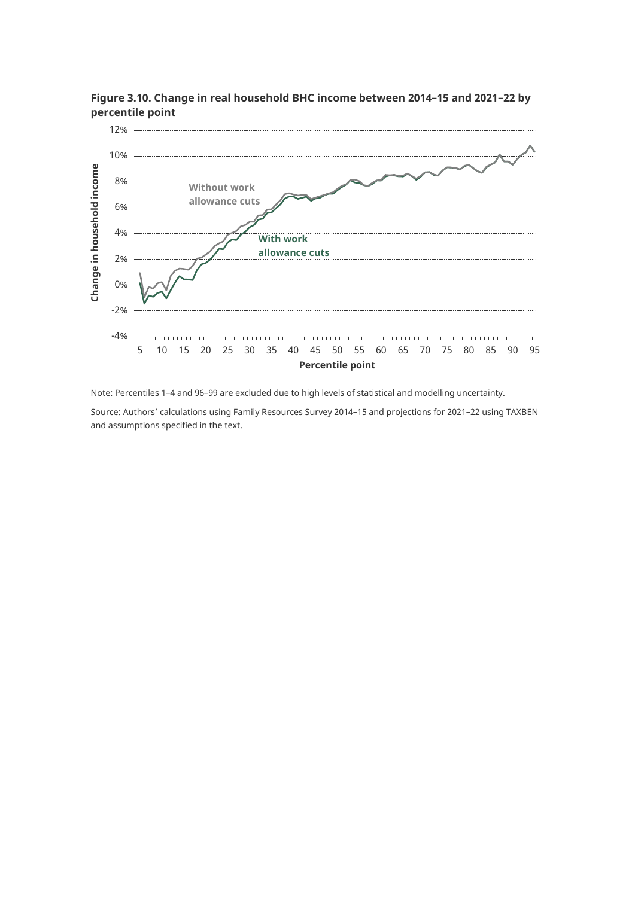

**Figure 3.10. Change in real household BHC income between 2014–15 and 2021–22 by percentile point**

Note: Percentiles 1–4 and 96–99 are excluded due to high levels of statistical and modelling uncertainty.

Source: Authors' calculations using Family Resources Survey 2014–15 and projections for 2021–22 using TAXBEN and assumptions specified in the text.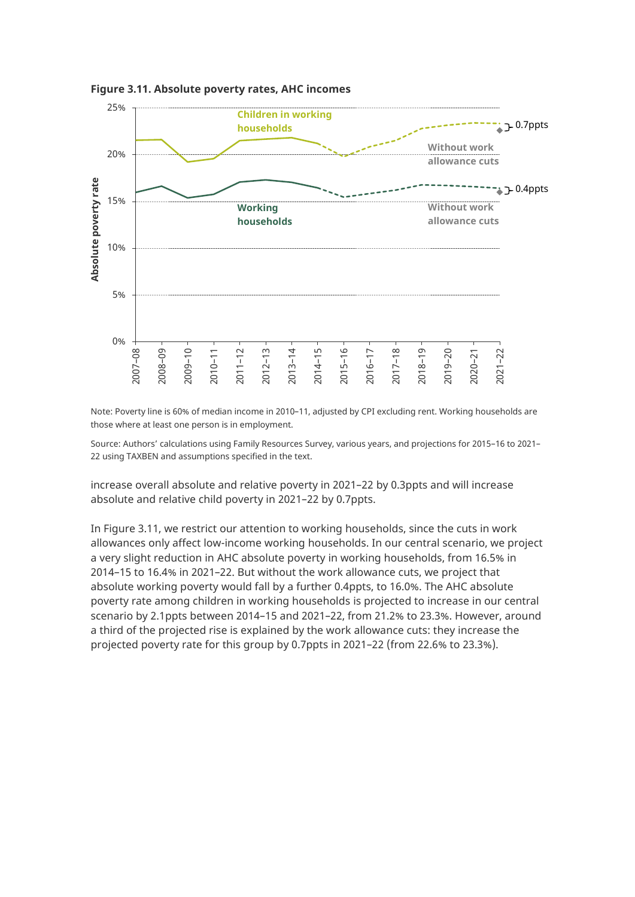

**Figure 3.11. Absolute poverty rates, AHC incomes**

Note: Poverty line is 60% of median income in 2010–11, adjusted by CPI excluding rent. Working households are those where at least one person is in employment.

Source: Authors' calculations using Family Resources Survey, various years, and projections for 2015–16 to 2021– 22 using TAXBEN and assumptions specified in the text.

increase overall absolute and relative poverty in 2021–22 by 0.3ppts and will increase absolute and relative child poverty in 2021–22 by 0.7ppts.

In Figure 3.11, we restrict our attention to working households, since the cuts in work allowances only affect low-income working households. In our central scenario, we project a very slight reduction in AHC absolute poverty in working households, from 16.5% in 2014–15 to 16.4% in 2021–22. But without the work allowance cuts, we project that absolute working poverty would fall by a further 0.4ppts, to 16.0%. The AHC absolute poverty rate among children in working households is projected to increase in our central scenario by 2.1ppts between 2014–15 and 2021–22, from 21.2% to 23.3%. However, around a third of the projected rise is explained by the work allowance cuts: they increase the projected poverty rate for this group by 0.7ppts in 2021–22 (from 22.6% to 23.3%).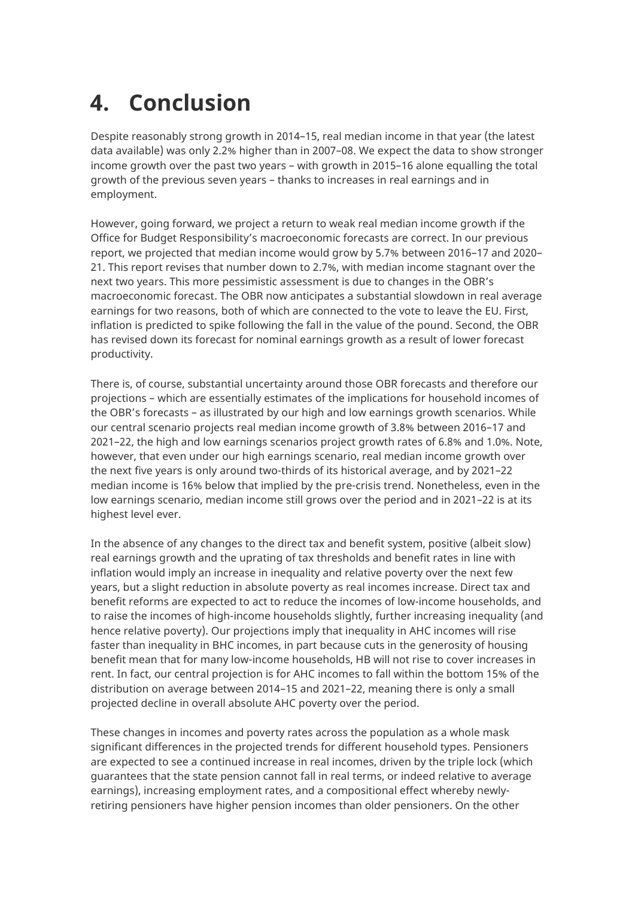# <span id="page-37-0"></span>**4. Conclusion**

Despite reasonably strong growth in 2014–15, real median income in that year (the latest data available) was only 2.2% higher than in 2007–08. We expect the data to show stronger income growth over the past two years – with growth in 2015–16 alone equalling the total growth of the previous seven years – thanks to increases in real earnings and in employment.

However, going forward, we project a return to weak real median income growth if the Office for Budget Responsibility's macroeconomic forecasts are correct. In our previous report, we projected that median income would grow by 5.7% between 2016–17 and 2020– 21. This report revises that number down to 2.7%, with median income stagnant over the next two years. This more pessimistic assessment is due to changes in the OBR's macroeconomic forecast. The OBR now anticipates a substantial slowdown in real average earnings for two reasons, both of which are connected to the vote to leave the EU. First, inflation is predicted to spike following the fall in the value of the pound. Second, the OBR has revised down its forecast for nominal earnings growth as a result of lower forecast productivity.

There is, of course, substantial uncertainty around those OBR forecasts and therefore our projections – which are essentially estimates of the implications for household incomes of the OBR's forecasts – as illustrated by our high and low earnings growth scenarios. While our central scenario projects real median income growth of 3.8% between 2016–17 and 2021–22, the high and low earnings scenarios project growth rates of 6.8% and 1.0%. Note, however, that even under our high earnings scenario, real median income growth over the next five years is only around two-thirds of its historical average, and by 2021–22 median income is 16% below that implied by the pre-crisis trend. Nonetheless, even in the low earnings scenario, median income still grows over the period and in 2021–22 is at its highest level ever.

In the absence of any changes to the direct tax and benefit system, positive (albeit slow) real earnings growth and the uprating of tax thresholds and benefit rates in line with inflation would imply an increase in inequality and relative poverty over the next few years, but a slight reduction in absolute poverty as real incomes increase. Direct tax and benefit reforms are expected to act to reduce the incomes of low-income households, and to raise the incomes of high-income households slightly, further increasing inequality (and hence relative poverty). Our projections imply that inequality in AHC incomes will rise faster than inequality in BHC incomes, in part because cuts in the generosity of housing benefit mean that for many low-income households, HB will not rise to cover increases in rent. In fact, our central projection is for AHC incomes to fall within the bottom 15% of the distribution on average between 2014–15 and 2021–22, meaning there is only a small projected decline in overall absolute AHC poverty over the period.

These changes in incomes and poverty rates across the population as a whole mask significant differences in the projected trends for different household types. Pensioners are expected to see a continued increase in real incomes, driven by the triple lock (which guarantees that the state pension cannot fall in real terms, or indeed relative to average earnings), increasing employment rates, and a compositional effect whereby newlyretiring pensioners have higher pension incomes than older pensioners. On the other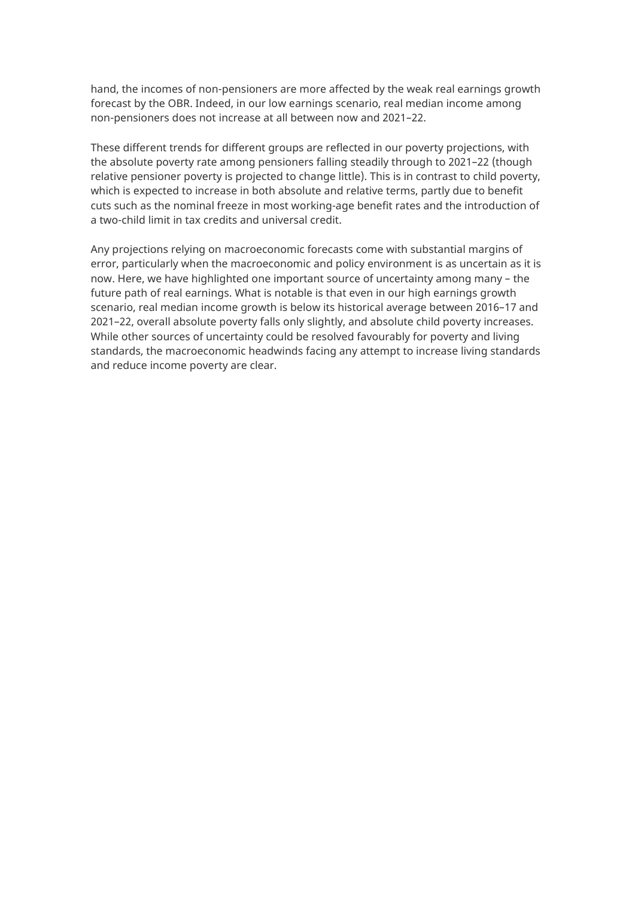hand, the incomes of non-pensioners are more affected by the weak real earnings growth forecast by the OBR. Indeed, in our low earnings scenario, real median income among non-pensioners does not increase at all between now and 2021–22.

These different trends for different groups are reflected in our poverty projections, with the absolute poverty rate among pensioners falling steadily through to 2021–22 (though relative pensioner poverty is projected to change little). This is in contrast to child poverty, which is expected to increase in both absolute and relative terms, partly due to benefit cuts such as the nominal freeze in most working-age benefit rates and the introduction of a two-child limit in tax credits and universal credit.

Any projections relying on macroeconomic forecasts come with substantial margins of error, particularly when the macroeconomic and policy environment is as uncertain as it is now. Here, we have highlighted one important source of uncertainty among many – the future path of real earnings. What is notable is that even in our high earnings growth scenario, real median income growth is below its historical average between 2016–17 and 2021–22, overall absolute poverty falls only slightly, and absolute child poverty increases. While other sources of uncertainty could be resolved favourably for poverty and living standards, the macroeconomic headwinds facing any attempt to increase living standards and reduce income poverty are clear.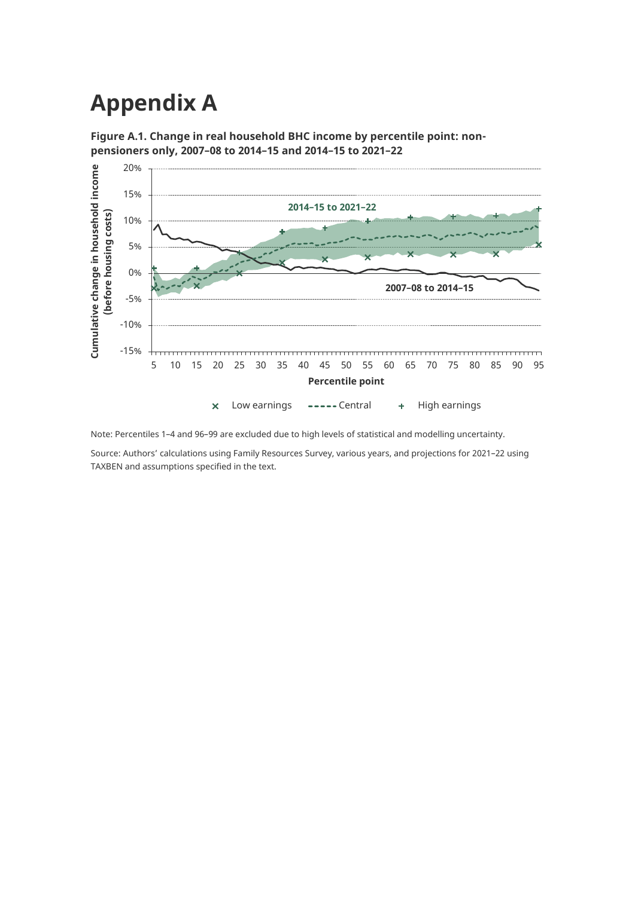## <span id="page-39-0"></span>**Appendix A**





Note: Percentiles 1–4 and 96–99 are excluded due to high levels of statistical and modelling uncertainty.

Source: Authors' calculations using Family Resources Survey, various years, and projections for 2021–22 using TAXBEN and assumptions specified in the text.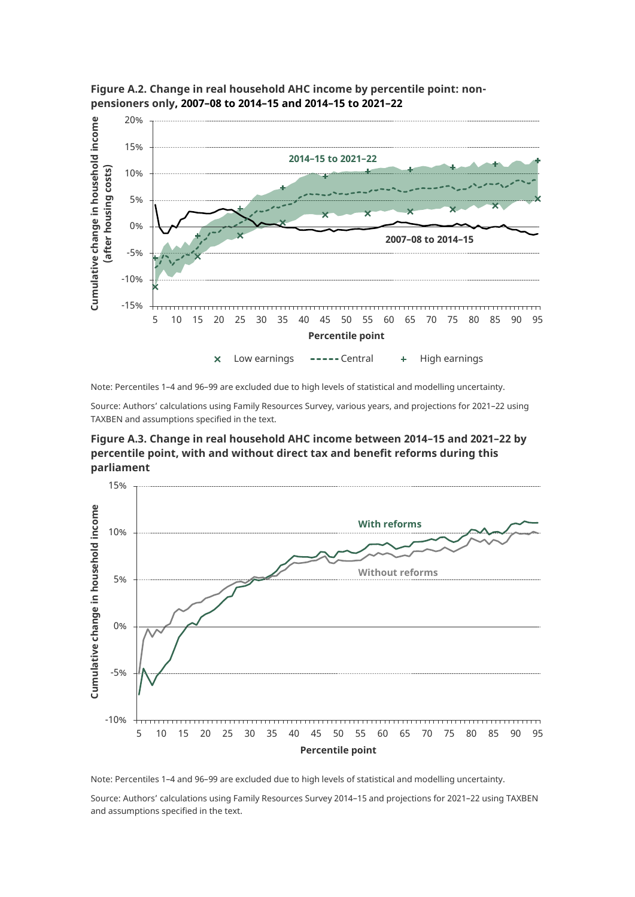

**Figure A.2. Change in real household AHC income by percentile point: nonpensioners only, 2007–08 to 2014–15 and 2014–15 to 2021–22**

Note: Percentiles 1–4 and 96–99 are excluded due to high levels of statistical and modelling uncertainty.

Source: Authors' calculations using Family Resources Survey, various years, and projections for 2021–22 using TAXBEN and assumptions specified in the text.

**Figure A.3. Change in real household AHC income between 2014–15 and 2021–22 by percentile point, with and without direct tax and benefit reforms during this parliament**



Note: Percentiles 1–4 and 96–99 are excluded due to high levels of statistical and modelling uncertainty.

Source: Authors' calculations using Family Resources Survey 2014–15 and projections for 2021–22 using TAXBEN and assumptions specified in the text.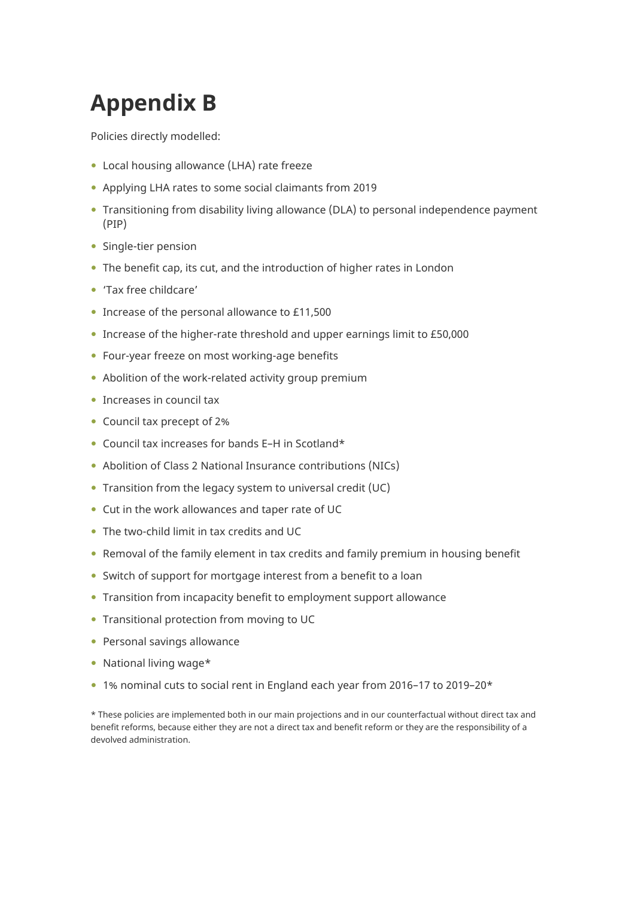# <span id="page-41-0"></span>**Appendix B**

Policies directly modelled:

- Local housing allowance (LHA) rate freeze
- Applying LHA rates to some social claimants from 2019
- Transitioning from disability living allowance (DLA) to personal independence payment (PIP)
- Single-tier pension
- The benefit cap, its cut, and the introduction of higher rates in London
- 'Tax free childcare'
- Increase of the personal allowance to £11,500
- Increase of the higher-rate threshold and upper earnings limit to £50,000
- Four-year freeze on most working-age benefits
- Abolition of the work-related activity group premium
- Increases in council tax
- Council tax precept of 2%
- Council tax increases for bands E–H in Scotland\*
- Abolition of Class 2 National Insurance contributions (NICs)
- Transition from the legacy system to universal credit (UC)
- Cut in the work allowances and taper rate of UC
- The two-child limit in tax credits and UC
- Removal of the family element in tax credits and family premium in housing benefit
- Switch of support for mortgage interest from a benefit to a loan
- Transition from incapacity benefit to employment support allowance
- Transitional protection from moving to UC
- Personal savings allowance
- National living wage\*
- 1% nominal cuts to social rent in England each year from 2016–17 to 2019–20\*

\* These policies are implemented both in our main projections and in our counterfactual without direct tax and benefit reforms, because either they are not a direct tax and benefit reform or they are the responsibility of a devolved administration.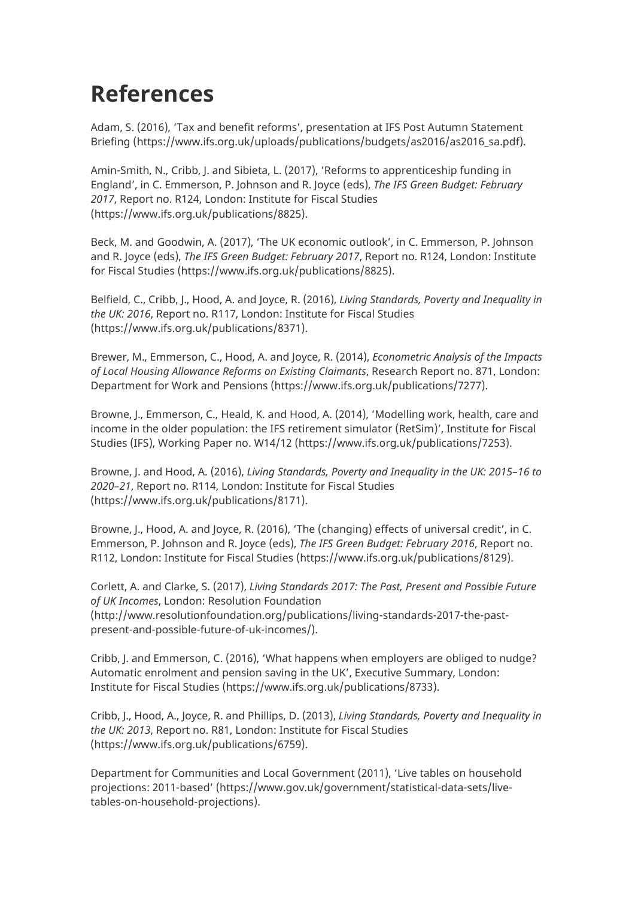# <span id="page-42-0"></span>**References**

Adam, S. (2016), 'Tax and benefit reforms', presentation at IFS Post Autumn Statement Briefing [\(https://www.ifs.org.uk/uploads/publications/budgets/as2016/as2016\\_sa.pdf\)](https://www.ifs.org.uk/uploads/publications/budgets/as2016/as2016_sa.pdf).

Amin-Smith, N., Cribb, J. and Sibieta, L. (2017), 'Reforms to apprenticeship funding in England', in C. Emmerson, P. Johnson and R. Joyce (eds), *The IFS Green Budget: February 2017*, Report no. R124, London: Institute for Fiscal Studies [\(https://www.ifs.org.uk/publications/8825\)](https://www.ifs.org.uk/publications/8825).

Beck, M. and Goodwin, A. (2017), 'The UK economic outlook', in C. Emmerson, P. Johnson and R. Joyce (eds), *The IFS Green Budget: February 2017*, Report no. R124, London: Institute for Fiscal Studies [\(https://www.ifs.org.uk/publications/8825\)](https://www.ifs.org.uk/publications/8825).

Belfield, C., Cribb, J., Hood, A. and Joyce, R. (2016), *Living Standards, Poverty and Inequality in the UK: 2016*, Report no. R117, London: Institute for Fiscal Studies [\(https://www.ifs.org.uk/publications/8371\)](https://www.ifs.org.uk/publications/8371).

Brewer, M., Emmerson, C., Hood, A. and Joyce, R. (2014), *Econometric Analysis of the Impacts of Local Housing Allowance Reforms on Existing Claimants*, Research Report no. 871, London: Department for Work and Pensions [\(https://www.ifs.org.uk/publications/7277\)](https://www.ifs.org.uk/publications/7277).

Browne, J., Emmerson, C., Heald, K. and Hood, A. (2014), 'Modelling work, health, care and income in the older population: the IFS retirement simulator (RetSim)', Institute for Fiscal Studies (IFS), Working Paper no. W14/12 (https://www.ifs.org.uk/publications/7253).

Browne, J. and Hood, A. (2016), *Living Standards, Poverty and Inequality in the UK: 2015–16 to 2020–21*, Report no. R114, London: Institute for Fiscal Studies [\(https://www.ifs.org.uk/publications/8171\)](https://www.ifs.org.uk/publications/8171).

Browne, J., Hood, A. and Joyce, R. (2016), 'The (changing) effects of universal credit', in C. Emmerson, P. Johnson and R. Joyce (eds), *The IFS Green Budget: February 2016*, Report no. R112, London: Institute for Fiscal Studies [\(https://www.ifs.org.uk/publications/8129\)](https://www.ifs.org.uk/publications/8129).

Corlett, A. and Clarke, S. (2017), *Living Standards 2017: The Past, Present and Possible Future of UK Incomes*, London: Resolution Foundation [\(http://www.resolutionfoundation.org/publications/living-standards-2017-the-past](http://www.resolutionfoundation.org/publications/living-standards-2017-the-past-present-and-possible-future-of-uk-incomes/)[present-and-possible-future-of-uk-incomes/\)](http://www.resolutionfoundation.org/publications/living-standards-2017-the-past-present-and-possible-future-of-uk-incomes/).

Cribb, J. and Emmerson, C. (2016), 'What happens when employers are obliged to nudge? Automatic enrolment and pension saving in the UK', Executive Summary, London: Institute for Fiscal Studies [\(https://www.ifs.org.uk/publications/8733\)](https://www.ifs.org.uk/publications/8733).

Cribb, J., Hood, A., Joyce, R. and Phillips, D. (2013), *Living Standards, Poverty and Inequality in the UK: 2013*, Report no. R81, London: Institute for Fiscal Studies [\(https://www.ifs.org.uk/publications/6759\)](https://www.ifs.org.uk/publications/6759).

Department for Communities and Local Government (2011), 'Live tables on household projections: 2011-based' [\(https://www.gov.uk/government/statistical-data-sets/live](https://www.gov.uk/government/statistical-data-sets/live-tables-on-household-projections)[tables-on-household-projections\)](https://www.gov.uk/government/statistical-data-sets/live-tables-on-household-projections).